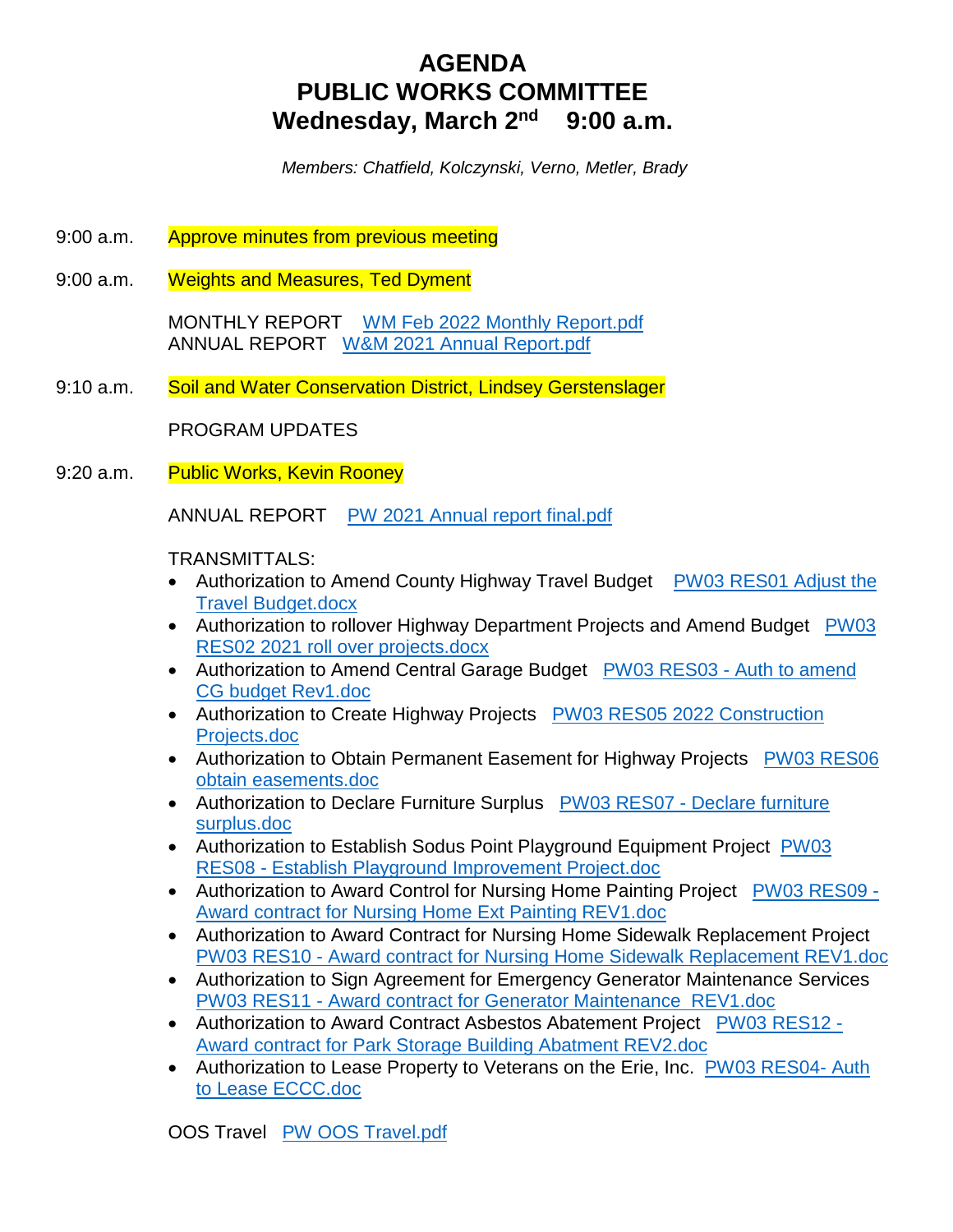# **AGENDA PUBLIC WORKS COMMITTEE Wednesday, March 2nd 9:00 a.m.**

 *Members: Chatfield, Kolczynski, Verno, Metler, Brady*

- 9:00 a.m. Approve minutes from previous meeting
- 9:00 a.m. Weights and Measures, Ted Dyment

 MONTHLY REPORT WM Feb 2022 Monthly Report.pdf ANNUAL REPORT W&M 2021 Annual Report.pdf

9:10 a.m. Soil and Water Conservation District, Lindsey Gerstenslager

PROGRAM UPDATES

9:20 a.m. Public Works, Kevin Rooney

ANNUAL REPORT PW 2021 Annual report final.pdf

### TRANSMITTALS:

- Authorization to Amend County Highway Travel Budget PW03 RES01 Adjust the Travel Budget.docx
- Authorization to rollover Highway Department Projects and Amend Budget PW03 RES02 2021 roll over projects.docx
- Authorization to Amend Central Garage Budget PW03 RES03 Auth to amend CG budget Rev1.doc
- Authorization to Create Highway Projects PW03 RES05 2022 Construction Projects.doc
- Authorization to Obtain Permanent Easement for Highway Projects PW03 RES06 obtain easements.doc
- Authorization to Declare Furniture Surplus PW03 RES07 Declare furniture surplus.doc
- Authorization to Establish Sodus Point Playground Equipment Project PW03 RES08 - Establish Playground Improvement Project.doc
- Authorization to Award Control for Nursing Home Painting Project PW03 RES09 Award contract for Nursing Home Ext Painting REV1.doc
- Authorization to Award Contract for Nursing Home Sidewalk Replacement Project PW03 RES10 - Award contract for Nursing Home Sidewalk Replacement REV1.doc
- Authorization to Sign Agreement for Emergency Generator Maintenance Services PW03 RES11 - Award contract for Generator Maintenance REV1.doc
- Authorization to Award Contract Asbestos Abatement Project PW03 RES12 -Award contract for Park Storage Building Abatment REV2.doc
- Authorization to Lease Property to Veterans on the Erie, Inc. PW03 RES04- Auth to Lease ECCC.doc

OOS Travel PW OOS Travel.pdf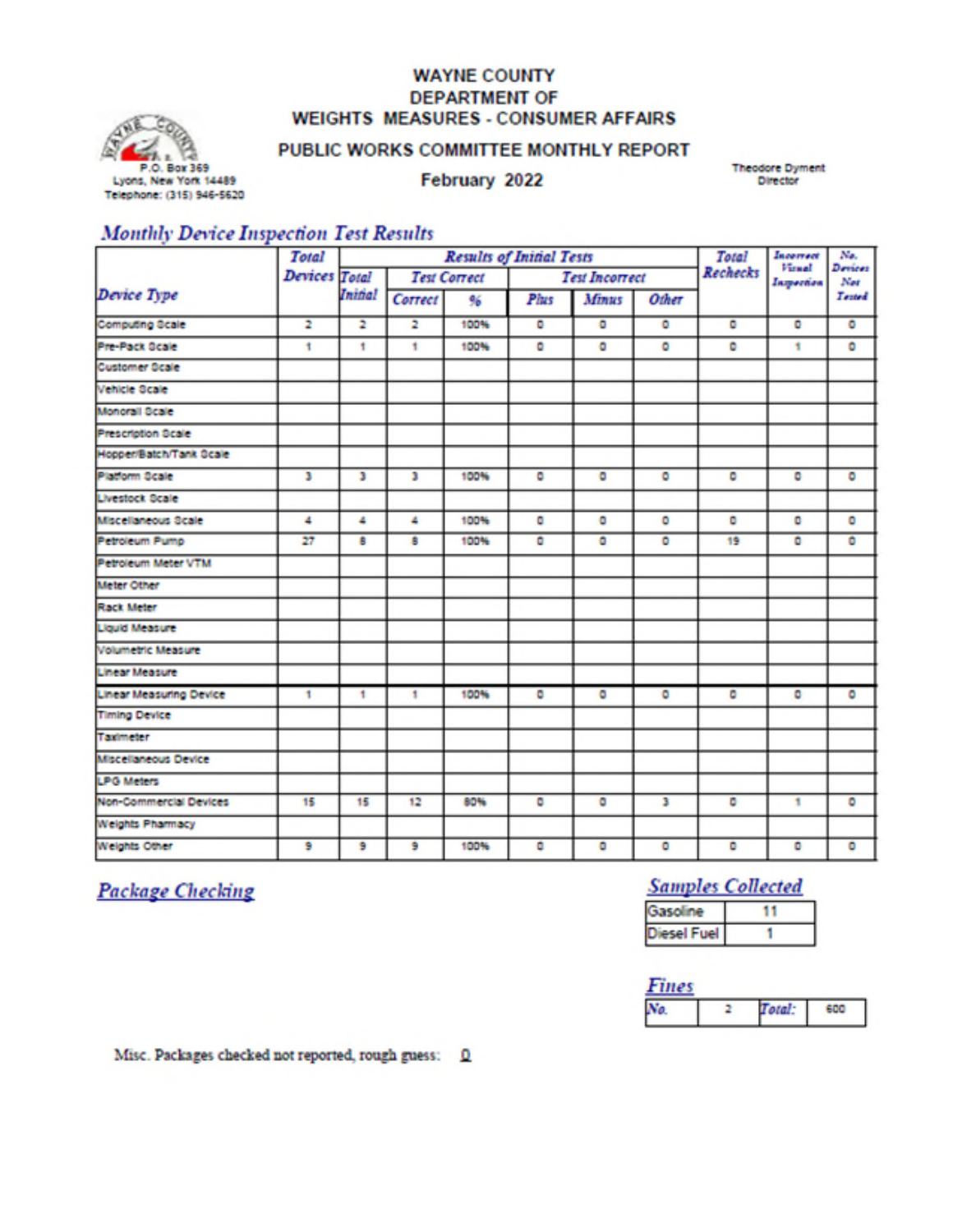### **WAYNE COUNTY DEPARTMENT OF WEIGHTS MEASURES - CONSUMER AFFAIRS**



### PUBLIC WORKS COMMITTEE MONTHLY REPORT

February 2022

**Theodore Dyment** Director

## **Monthly Device Inspection Test Results**

|                                             | Total |                | <b>Results of Initial Tests</b> |      |             |                       |       |    | <b>Total</b><br>Incorrect<br><b>Virsel</b><br><b>Rechecks</b> |                |
|---------------------------------------------|-------|----------------|---------------------------------|------|-------------|-----------------------|-------|----|---------------------------------------------------------------|----------------|
| <b>Devices</b> Total<br><b>Test Correct</b> |       |                |                                 |      |             | <b>Test Incorrect</b> |       |    | Inspection                                                    | Devices<br>Net |
| Device Type                                 |       | <b>Initial</b> | Correct                         | 96   | <b>Plus</b> | Minus                 | Other |    |                                                               | Tented         |
| Computing Scale                             | 2     | 2              | $\overline{z}$                  | 100% | ۰           | ۰                     | ٥     | ۰  | ۰                                                             | ٥              |
| Pre-Pack Ocale                              | 1     | 1              | ٠                               | 100% | ۰           | ۰                     | ۰     | ۰  | ٠                                                             | ۰              |
| <b>Customer Scale</b>                       |       |                |                                 |      |             |                       |       |    |                                                               |                |
| Vehicle Scale                               |       |                |                                 |      |             |                       |       |    |                                                               |                |
| Monorall Scale                              |       |                |                                 |      |             |                       |       |    |                                                               |                |
| Prescription Scale                          |       |                |                                 |      |             |                       |       |    |                                                               |                |
| Hopper/Batch/Tank Ocale                     |       |                |                                 |      |             |                       |       |    |                                                               |                |
| Platform Scale                              | з     | э              | в                               | 100% | ø           | ø                     | ۰     | ۰  | ۰                                                             | o              |
| Livestock Scale                             |       |                |                                 |      |             |                       |       |    |                                                               |                |
| Miscellaneous Scale                         | 4     | ٠              | 4                               | 100% | ٥           | ۰                     | ۰     | ٥  | ۰                                                             | ۰              |
| Petroleum Pump                              | 27    | B              | 8                               | 100% | ٥           | ۰                     | ۰     | 19 | ۰                                                             | ٥              |
| Petroleum Meter VTM                         |       |                |                                 |      |             |                       |       |    |                                                               |                |
| Meter Other                                 |       |                |                                 |      |             |                       |       |    |                                                               |                |
| Rack Meter                                  |       |                |                                 |      |             |                       |       |    |                                                               |                |
| <b>Liquid Measure</b>                       |       |                |                                 |      |             |                       |       |    |                                                               |                |
| Volumetric Measure                          |       |                |                                 |      |             |                       |       |    |                                                               |                |
| <b>Linear Measure</b>                       |       |                |                                 |      |             |                       |       |    |                                                               |                |
| <b>Linear Measuring Device</b>              | 1     | 1              | 1                               | 100% | ۰           | ۰                     | ۰     | ٥  | ۰                                                             | o              |
| <b>Timing Device</b>                        |       |                |                                 |      |             |                       |       |    |                                                               |                |
| Taximeter                                   |       |                |                                 |      |             |                       |       |    |                                                               |                |
| Miscellaneous Device                        |       |                |                                 |      |             |                       |       |    |                                                               |                |
| <b>LPG Meters</b>                           |       |                |                                 |      |             |                       |       |    |                                                               |                |
| Non-Commercial Devices                      | 15    | 15             | 12                              | 80%  | ٥           | ۰                     | з     | ٥  | 1                                                             | O              |
| <b>Weights Pharmacy</b>                     |       |                |                                 |      |             |                       |       |    |                                                               |                |
| Weights Other                               | 9     | 9              | э                               | 100% | ٥           | ۰                     | ۰     | ۰  | ۰                                                             | ۰              |

**Package Checking** 

# **Samples Collected**

Misc. Packages checked not reported, rough guess: Q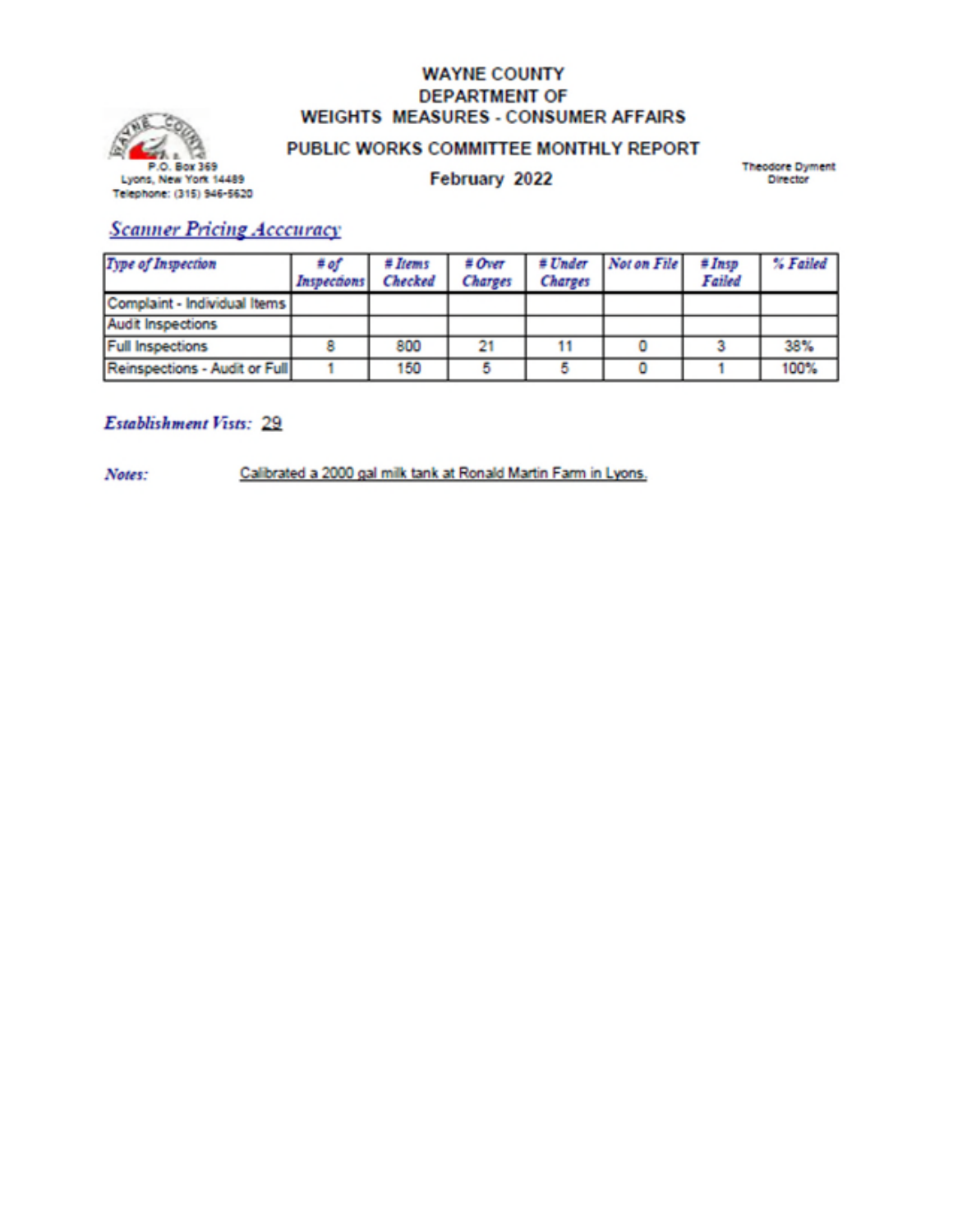

### **WAYNE COUNTY DEPARTMENT OF WEIGHTS MEASURES - CONSUMER AFFAIRS**

## PUBLIC WORKS COMMITTEE MONTHLY REPORT

February 2022

**Theodore Dyment** Director

## **Scanner Pricing Acceuracy**

| <b>Type of Inspection</b>     | # of<br>Inspections | # <i>Items</i><br><b>Checked</b> | # Over<br><b>Charges</b> | <b>Charges</b> | # Under Not on File | #Insp<br>Failed | % Failed |
|-------------------------------|---------------------|----------------------------------|--------------------------|----------------|---------------------|-----------------|----------|
| Complaint - Individual Items  |                     |                                  |                          |                |                     |                 |          |
| <b>Audit Inspections</b>      |                     |                                  |                          |                |                     |                 |          |
| <b>Full Inspections</b>       |                     | 800                              | 21                       |                |                     |                 | 38%      |
| Reinspections - Audit or Full |                     | 150                              |                          |                |                     |                 | 100%     |

### **Establishment Vists: 29**

Calibrated a 2000 gal milk tank at Ronald Martin Farm in Lyons. Notes: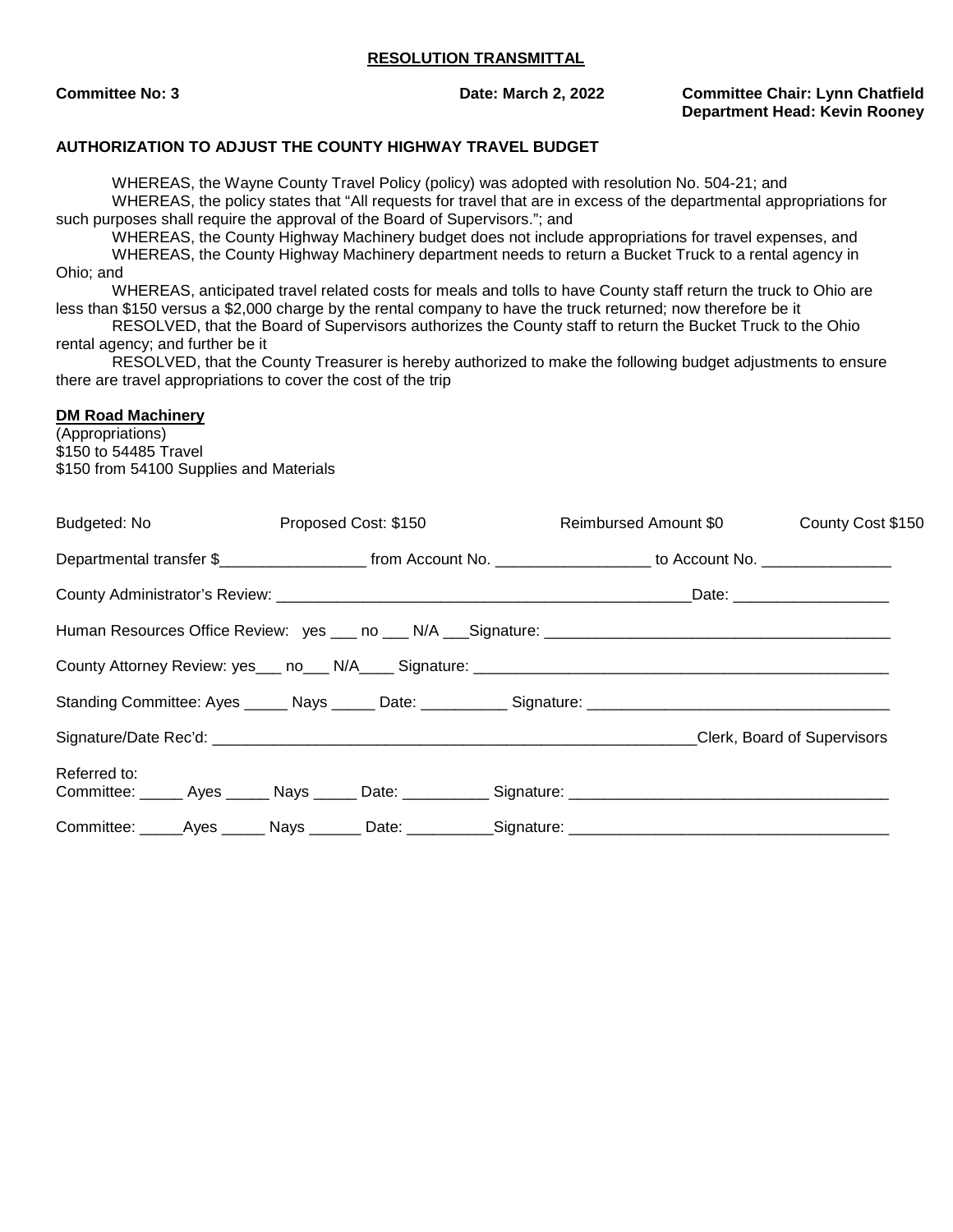**Committee No: 3 Date: March 2, 2022 Committee Chair: Lynn Chatfield Department Head: Kevin Rooney** 

#### **AUTHORIZATION TO ADJUST THE COUNTY HIGHWAY TRAVEL BUDGET**

WHEREAS, the Wayne County Travel Policy (policy) was adopted with resolution No. 504-21; and WHEREAS, the policy states that "All requests for travel that are in excess of the departmental appropriations for such purposes shall require the approval of the Board of Supervisors."; and

WHEREAS, the County Highway Machinery budget does not include appropriations for travel expenses, and WHEREAS, the County Highway Machinery department needs to return a Bucket Truck to a rental agency in Ohio; and

WHEREAS, anticipated travel related costs for meals and tolls to have County staff return the truck to Ohio are less than \$150 versus a \$2,000 charge by the rental company to have the truck returned; now therefore be it

RESOLVED, that the Board of Supervisors authorizes the County staff to return the Bucket Truck to the Ohio rental agency; and further be it

RESOLVED, that the County Treasurer is hereby authorized to make the following budget adjustments to ensure there are travel appropriations to cover the cost of the trip

#### **DM Road Machinery**

(Appropriations) \$150 to 54485 Travel \$150 from 54100 Supplies and Materials

|              | Budgeted: No and the state of the state of the state of the state of the state of the state of the state of the state of the state of the state of the state of the state of the state of the state of the state of the state<br>Proposed Cost: \$150 |  |  | Reimbursed Amount \$0 | County Cost \$150 |  |                             |  |
|--------------|-------------------------------------------------------------------------------------------------------------------------------------------------------------------------------------------------------------------------------------------------------|--|--|-----------------------|-------------------|--|-----------------------------|--|
|              | Departmental transfer \$________________________ from Account No. ____________________ to Account No. _______________                                                                                                                                 |  |  |                       |                   |  |                             |  |
|              |                                                                                                                                                                                                                                                       |  |  |                       |                   |  |                             |  |
|              |                                                                                                                                                                                                                                                       |  |  |                       |                   |  |                             |  |
|              |                                                                                                                                                                                                                                                       |  |  |                       |                   |  |                             |  |
|              |                                                                                                                                                                                                                                                       |  |  |                       |                   |  |                             |  |
|              |                                                                                                                                                                                                                                                       |  |  |                       |                   |  | Clerk, Board of Supervisors |  |
| Referred to: |                                                                                                                                                                                                                                                       |  |  |                       |                   |  |                             |  |
|              |                                                                                                                                                                                                                                                       |  |  |                       |                   |  |                             |  |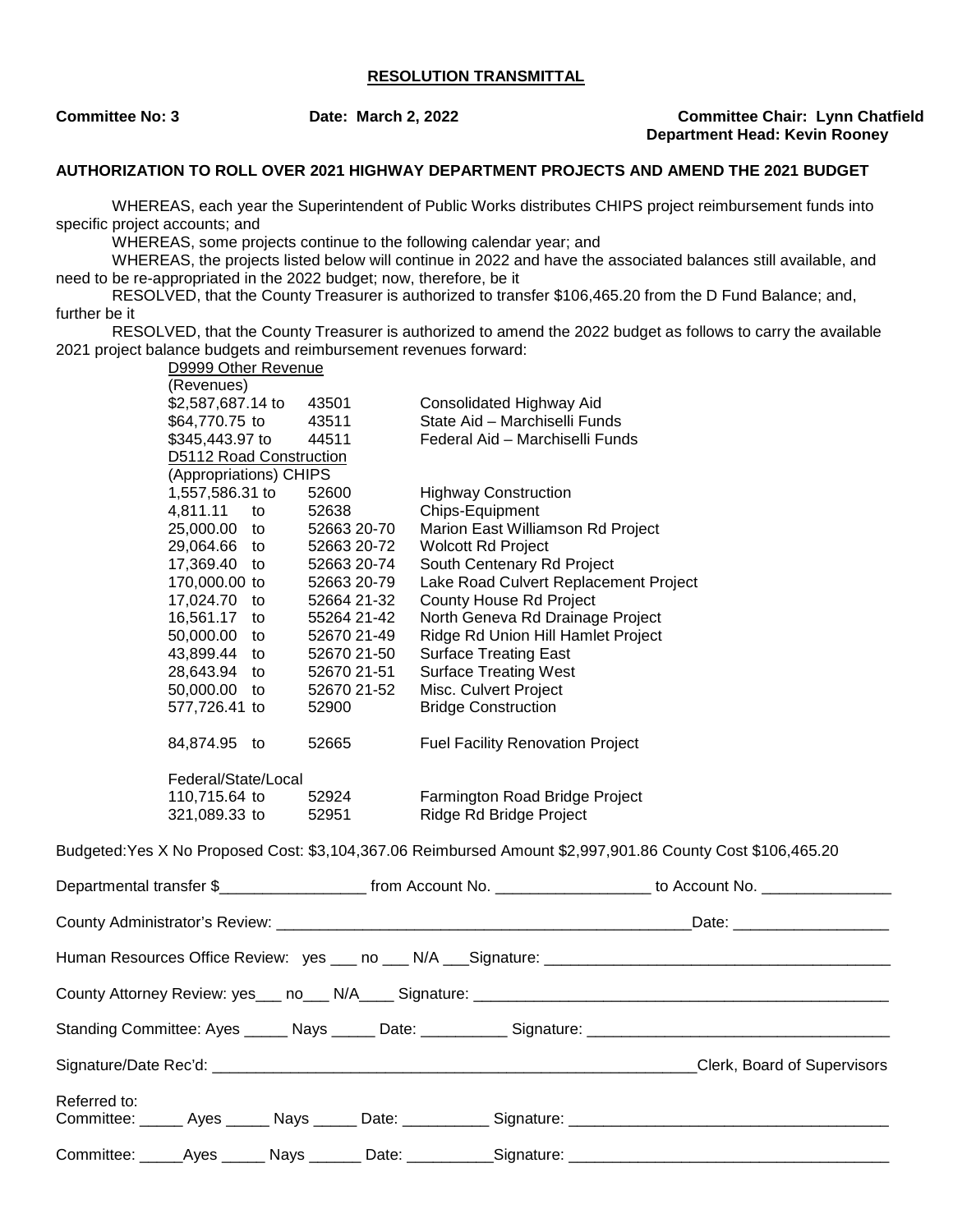**Committee No: 3 Date: March 2, 2022 Committee Chair: Lynn Chatfield Department Head: Kevin Rooney** 

#### **AUTHORIZATION TO ROLL OVER 2021 HIGHWAY DEPARTMENT PROJECTS AND AMEND THE 2021 BUDGET**

WHEREAS, each year the Superintendent of Public Works distributes CHIPS project reimbursement funds into specific project accounts; and

WHEREAS, some projects continue to the following calendar year; and

WHEREAS, the projects listed below will continue in 2022 and have the associated balances still available, and need to be re-appropriated in the 2022 budget; now, therefore, be it

RESOLVED, that the County Treasurer is authorized to transfer \$106,465.20 from the D Fund Balance; and, further be it

RESOLVED, that the County Treasurer is authorized to amend the 2022 budget as follows to carry the available 2021 project balance budgets and reimbursement revenues forward: D9999 Other Revenue

(Revenues) \$2,587,687.14 to 43501 Consolidated Highway Aid \$64,770.75 to 43511 State Aid – Marchiselli Funds \$345,443.97 to 44511 Federal Aid – Marchiselli Funds D5112 Road Construction (Appropriations) CHIPS 1,557,586.31 to 52600 Highway Construction 4,811.11 to 52638 Chips-Equipment 25,000.00 to 52663 20-70 Marion East Williamson Rd Project 29,064.66 to 52663 20-72 Wolcott Rd Project 17,369.40 to 52663 20-74 South Centenary Rd Project 170,000.00 to 52663 20-79 Lake Road Culvert Replacement Project<br>17.024.70 to 52664 21-32 County House Rd Project 52664 21-32 County House Rd Project 16,561.17 to 55264 21-42 North Geneva Rd Drainage Project 50,000.00 to 52670 21-49 Ridge Rd Union Hill Hamlet Project 43,899.44 to 52670 21-50 Surface Treating East 28,643.94 to 52670 21-51 Surface Treating West 50,000.00 to 52670 21-52 Misc. Culvert Project 577,726.41 to 52900 Bridge Construction 84,874.95 to 52665 Fuel Facility Renovation Project Federal/State/Local 110,715.64 to 52924 Farmington Road Bridge Project 321,089.33 to 52951 Ridge Rd Bridge Project Budgeted:Yes X No Proposed Cost: \$3,104,367.06 Reimbursed Amount \$2,997,901.86 County Cost \$106,465.20 Departmental transfer \$\_\_\_\_\_\_\_\_\_\_\_\_\_\_\_\_\_ from Account No. \_\_\_\_\_\_\_\_\_\_\_\_\_\_\_\_\_\_ to Account No. \_\_\_\_\_\_\_\_\_\_\_\_\_\_\_ County Administrator's Review: \_\_\_\_\_\_\_\_\_\_\_\_\_\_\_\_\_\_\_\_\_\_\_\_\_\_\_\_\_\_\_\_\_\_\_\_\_\_\_\_\_\_\_\_\_\_\_\_Date: \_\_\_\_\_\_\_\_\_\_\_\_\_\_\_\_\_\_ Human Resources Office Review: yes \_\_\_ no \_\_\_ N/A \_\_\_Signature: \_\_\_\_\_\_\_\_\_\_\_\_\_\_\_\_\_\_\_\_\_\_\_\_\_\_\_\_\_\_\_\_\_\_\_\_\_\_\_\_

County Attorney Review: yes\_\_\_ no\_\_\_ N/A\_\_\_\_ Signature: \_\_\_\_\_\_\_\_\_\_\_\_\_\_\_\_\_\_\_\_\_\_\_\_\_\_\_\_\_\_\_\_\_\_\_\_\_\_\_\_\_\_\_\_\_\_\_\_

Standing Committee: Ayes Mays Date: \_\_\_\_\_\_\_\_\_ Signature:

Signature/Date Rec'd: \_\_\_\_\_\_\_\_\_\_\_\_\_\_\_\_\_\_\_\_\_\_\_\_\_\_\_\_\_\_\_\_\_\_\_\_\_\_\_\_\_\_\_\_\_\_\_\_\_\_\_\_\_\_\_\_Clerk, Board of Supervisors Referred to:

Committee: \_\_\_\_\_ Ayes \_\_\_\_\_ Nays \_\_\_\_\_ Date: \_\_\_\_\_\_\_\_\_\_ Signature: \_\_\_\_\_\_\_\_\_\_\_\_\_\_\_\_\_\_\_\_\_\_\_\_\_\_\_\_\_\_\_\_\_\_\_\_\_ Committee: \_\_\_\_\_Ayes \_\_\_\_\_ Nays \_\_\_\_\_\_ Date: \_\_\_\_\_\_\_\_\_\_Signature: \_\_\_\_\_\_\_\_\_\_\_\_\_\_\_\_\_\_\_\_\_\_\_\_\_\_\_\_\_\_\_\_\_\_\_\_\_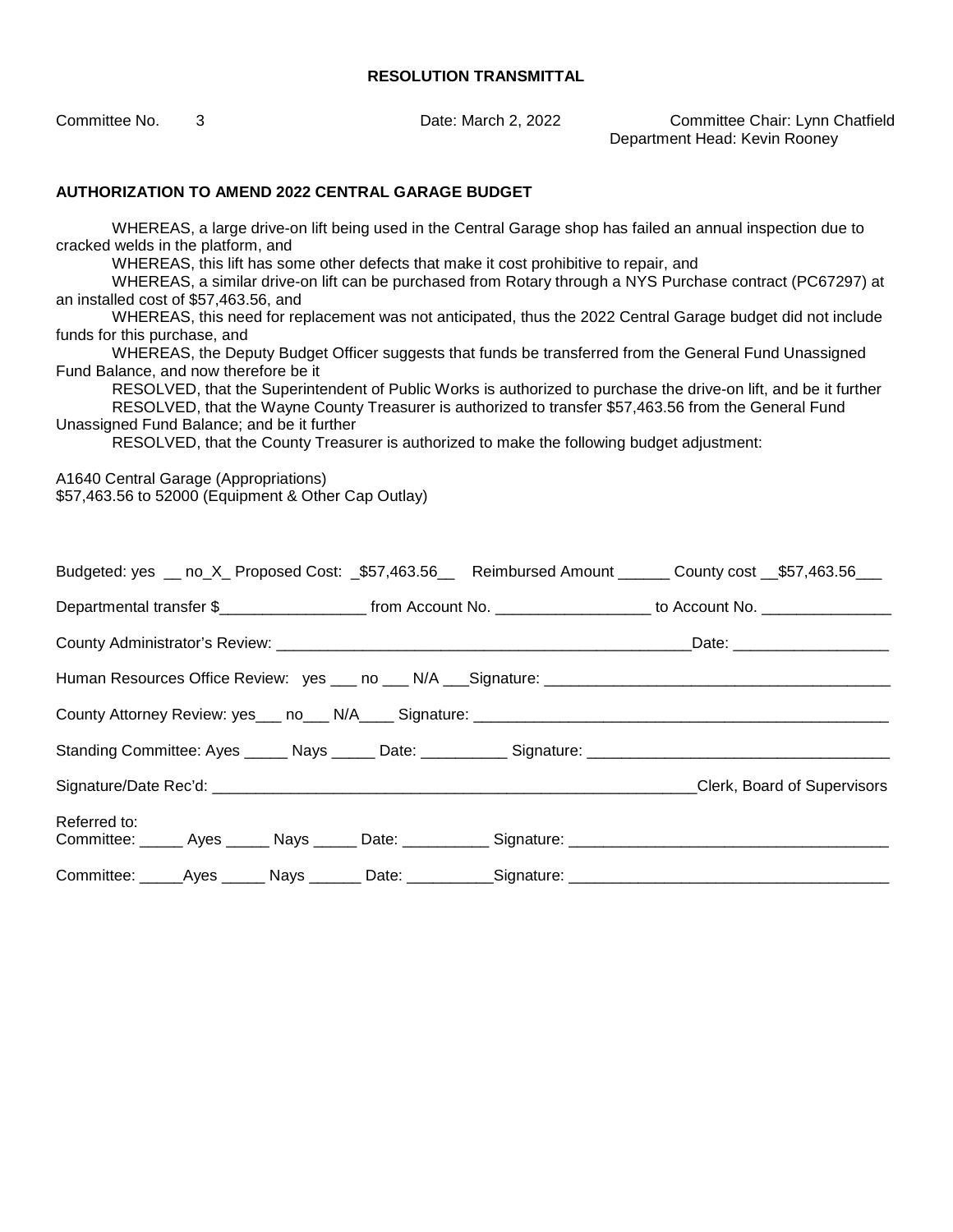Committee No. 3 Date: March 2, 2022 Committee Chair: Lynn Chatfield Department Head: Kevin Rooney

#### **AUTHORIZATION TO AMEND 2022 CENTRAL GARAGE BUDGET**

WHEREAS, a large drive-on lift being used in the Central Garage shop has failed an annual inspection due to cracked welds in the platform, and

WHEREAS, this lift has some other defects that make it cost prohibitive to repair, and

WHEREAS, a similar drive-on lift can be purchased from Rotary through a NYS Purchase contract (PC67297) at an installed cost of \$57,463.56, and

WHEREAS, this need for replacement was not anticipated, thus the 2022 Central Garage budget did not include funds for this purchase, and

WHEREAS, the Deputy Budget Officer suggests that funds be transferred from the General Fund Unassigned Fund Balance, and now therefore be it

RESOLVED, that the Superintendent of Public Works is authorized to purchase the drive-on lift, and be it further RESOLVED, that the Wayne County Treasurer is authorized to transfer \$57,463.56 from the General Fund Unassigned Fund Balance; and be it further

RESOLVED, that the County Treasurer is authorized to make the following budget adjustment:

A1640 Central Garage (Appropriations) \$57,463.56 to 52000 (Equipment & Other Cap Outlay)

|                                                                                                                      |  | Budgeted: yes __ no_X_ Proposed Cost: _\$57,463.56__ Reimbursed Amount ______ County cost __\$57,463.56___       |
|----------------------------------------------------------------------------------------------------------------------|--|------------------------------------------------------------------------------------------------------------------|
|                                                                                                                      |  | Departmental transfer \$_______________________ from Account No. ___________________ to Account No. ____________ |
|                                                                                                                      |  |                                                                                                                  |
|                                                                                                                      |  |                                                                                                                  |
|                                                                                                                      |  |                                                                                                                  |
|                                                                                                                      |  |                                                                                                                  |
|                                                                                                                      |  | Clerk, Board of Supervisors                                                                                      |
| Referred to:<br>Committee: ______ Ayes ______ Nays ______ Date: ___________ Signature: _____________________________ |  |                                                                                                                  |
| Committee: _____Ayes ______ Nays _______ Date: ___________Signature: _______________________________                 |  |                                                                                                                  |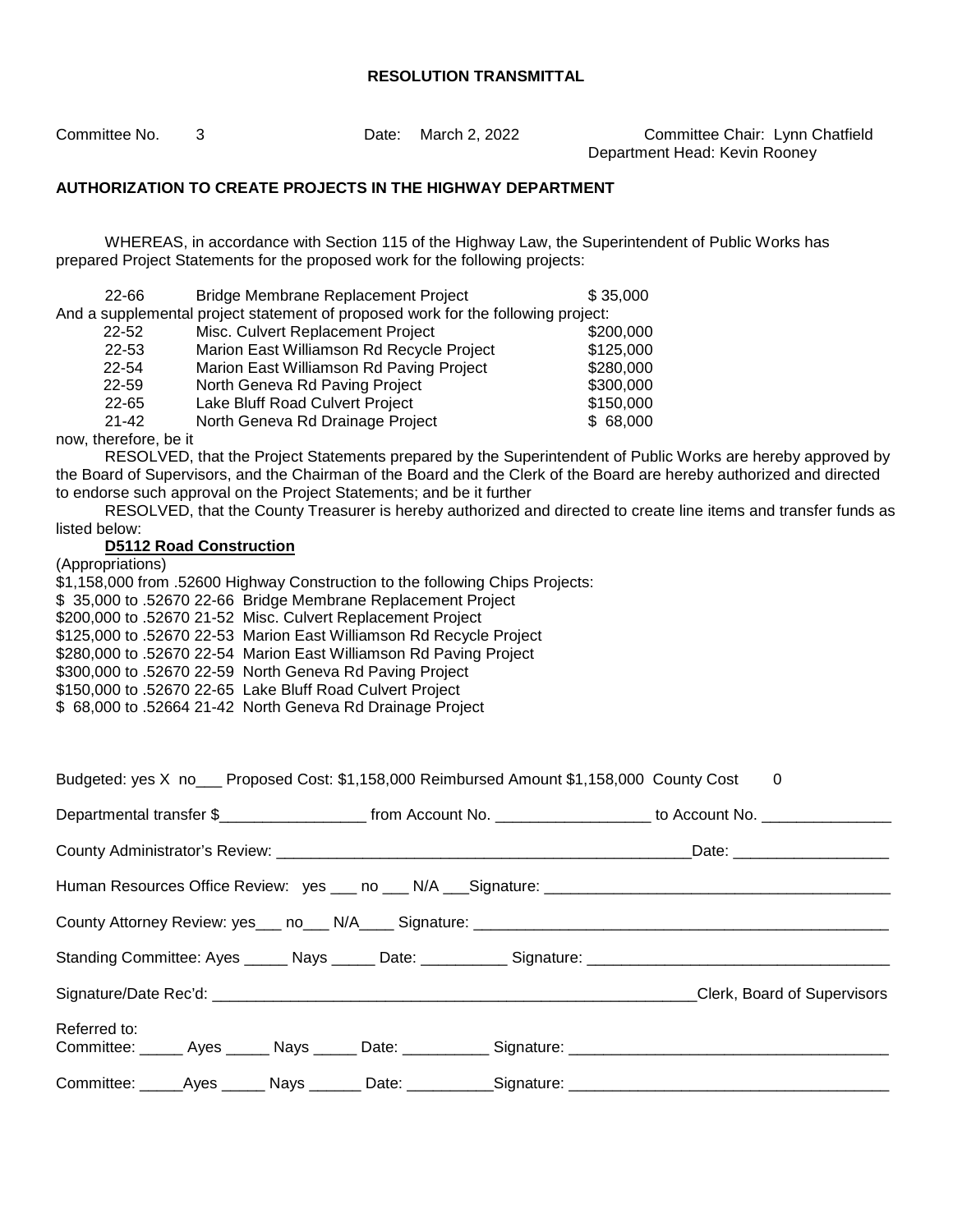Committee No. 3 Date: March 2, 2022 Committee Chair: Lynn Chatfield Department Head: Kevin Rooney

#### **AUTHORIZATION TO CREATE PROJECTS IN THE HIGHWAY DEPARTMENT**

WHEREAS, in accordance with Section 115 of the Highway Law, the Superintendent of Public Works has prepared Project Statements for the proposed work for the following projects:

| $22 - 66$ | Bridge Membrane Replacement Project                                              | \$35,000  |
|-----------|----------------------------------------------------------------------------------|-----------|
|           | And a supplemental project statement of proposed work for the following project: |           |
| $22 - 52$ | Misc. Culvert Replacement Project                                                | \$200,000 |
| 22-53     | Marion East Williamson Rd Recycle Project                                        | \$125,000 |
| 22-54     | Marion East Williamson Rd Paving Project                                         | \$280,000 |
| 22-59     | North Geneva Rd Paving Project                                                   | \$300,000 |
| $22 - 65$ | Lake Bluff Road Culvert Project                                                  | \$150,000 |
| $21 - 42$ | North Geneva Rd Drainage Project                                                 | \$68,000  |
|           |                                                                                  |           |

now, therefore, be it

RESOLVED, that the Project Statements prepared by the Superintendent of Public Works are hereby approved by the Board of Supervisors, and the Chairman of the Board and the Clerk of the Board are hereby authorized and directed to endorse such approval on the Project Statements; and be it further

RESOLVED, that the County Treasurer is hereby authorized and directed to create line items and transfer funds as listed below:

#### **D5112 Road Construction**

(Appropriations)

\$1,158,000 from .52600 Highway Construction to the following Chips Projects:

\$ 35,000 to .52670 22-66 Bridge Membrane Replacement Project

\$200,000 to .52670 21-52 Misc. Culvert Replacement Project

\$125,000 to .52670 22-53 Marion East Williamson Rd Recycle Project

\$280,000 to .52670 22-54 Marion East Williamson Rd Paving Project

\$300,000 to .52670 22-59 North Geneva Rd Paving Project

\$150,000 to .52670 22-65 Lake Bluff Road Culvert Project

\$ 68,000 to .52664 21-42 North Geneva Rd Drainage Project

|              |                                                                                                                 |  |  | Budgeted: yes X no___ Proposed Cost: \$1,158,000 Reimbursed Amount \$1,158,000 County Cost          | $\overline{0}$                                                                                       |  |
|--------------|-----------------------------------------------------------------------------------------------------------------|--|--|-----------------------------------------------------------------------------------------------------|------------------------------------------------------------------------------------------------------|--|
|              | Departmental transfer \$_____________________ from Account No. __________________ to Account No. ______________ |  |  |                                                                                                     |                                                                                                      |  |
|              |                                                                                                                 |  |  |                                                                                                     |                                                                                                      |  |
|              |                                                                                                                 |  |  |                                                                                                     |                                                                                                      |  |
|              |                                                                                                                 |  |  |                                                                                                     |                                                                                                      |  |
|              |                                                                                                                 |  |  |                                                                                                     |                                                                                                      |  |
|              |                                                                                                                 |  |  |                                                                                                     | Clerk, Board of Supervisors                                                                          |  |
| Referred to: |                                                                                                                 |  |  |                                                                                                     | Committee: ______ Ayes ______ Nays ______ Date: ___________ Signature: _____________________________ |  |
|              |                                                                                                                 |  |  | Committee: ______Ayes ______ Nays _______ Date: ___________Signature: _____________________________ |                                                                                                      |  |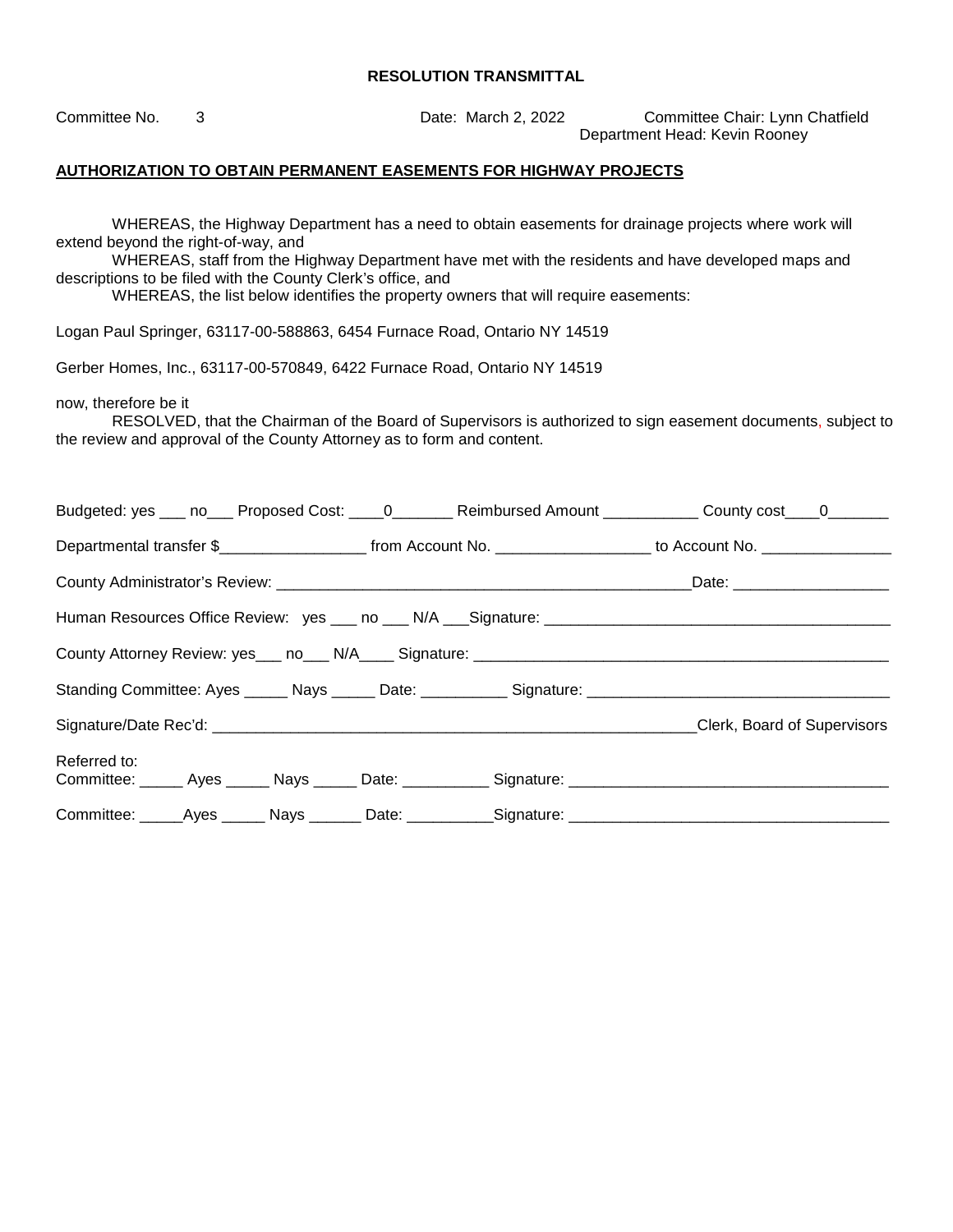Committee No. 3 Date: March 2, 2022 Committee Chair: Lynn Chatfield Department Head: Kevin Rooney **AUTHORIZATION TO OBTAIN PERMANENT EASEMENTS FOR HIGHWAY PROJECTS**  WHEREAS, the Highway Department has a need to obtain easements for drainage projects where work will extend beyond the right-of-way, and WHEREAS, staff from the Highway Department have met with the residents and have developed maps and descriptions to be filed with the County Clerk's office, and WHEREAS, the list below identifies the property owners that will require easements: Logan Paul Springer, 63117-00-588863, 6454 Furnace Road, Ontario NY 14519 Gerber Homes, Inc., 63117-00-570849, 6422 Furnace Road, Ontario NY 14519 now, therefore be it RESOLVED, that the Chairman of the Board of Supervisors is authorized to sign easement documents, subject to the review and approval of the County Attorney as to form and content. Budgeted: yes \_\_\_ no\_\_\_ Proposed Cost: \_\_\_\_0\_\_\_\_\_\_\_\_ Reimbursed Amount \_\_\_\_\_\_\_\_\_\_ County cost\_\_\_\_0\_\_\_\_\_\_\_ Departmental transfer \$\_\_\_\_\_\_\_\_\_\_\_\_\_\_\_\_\_\_\_\_\_\_\_\_ from Account No. \_\_\_\_\_\_\_\_\_\_\_\_\_\_\_\_\_\_\_\_\_\_ to Account No. \_\_\_\_\_\_\_\_\_\_\_\_\_ County Administrator's Review: \_\_\_\_\_\_\_\_\_\_\_\_\_\_\_\_\_\_\_\_\_\_\_\_\_\_\_\_\_\_\_\_\_\_\_\_\_\_\_\_\_\_\_\_\_\_\_\_Date: \_\_\_\_\_\_\_\_\_\_\_\_\_\_\_\_\_\_ Human Resources Office Review: yes \_\_\_ no \_\_\_ N/A \_\_ Signature: County Attorney Review: yes\_\_\_ no\_\_\_ N/A\_\_\_\_ Signature: \_\_\_\_\_\_\_\_\_\_\_\_\_\_\_\_\_\_\_\_\_\_\_\_\_\_\_\_\_\_\_\_\_\_\_\_\_\_\_\_\_\_\_\_\_\_\_\_ Standing Committee: Ayes \_\_\_\_\_ Nays \_\_\_\_\_ Date: \_\_\_\_\_\_\_\_\_\_ Signature: \_\_\_\_\_\_\_\_\_\_\_\_\_\_\_\_\_\_\_\_\_\_\_\_\_\_\_\_\_\_\_\_\_\_\_ Signature/Date Rec'd: \_\_\_\_\_\_\_\_\_\_\_\_\_\_\_\_\_\_\_\_\_\_\_\_\_\_\_\_\_\_\_\_\_\_\_\_\_\_\_\_\_\_\_\_\_\_\_\_\_\_\_\_\_\_\_\_Clerk, Board of Supervisors Referred to: Committee: \_\_\_\_\_ Ayes \_\_\_\_\_ Nays \_\_\_\_\_ Date: \_\_\_\_\_\_\_\_\_\_ Signature: \_\_\_\_\_\_\_\_\_\_\_\_\_\_\_\_\_\_\_\_\_\_\_\_\_\_\_\_\_\_\_\_\_\_\_\_\_ Committee: Ayes Nays Date: Signature: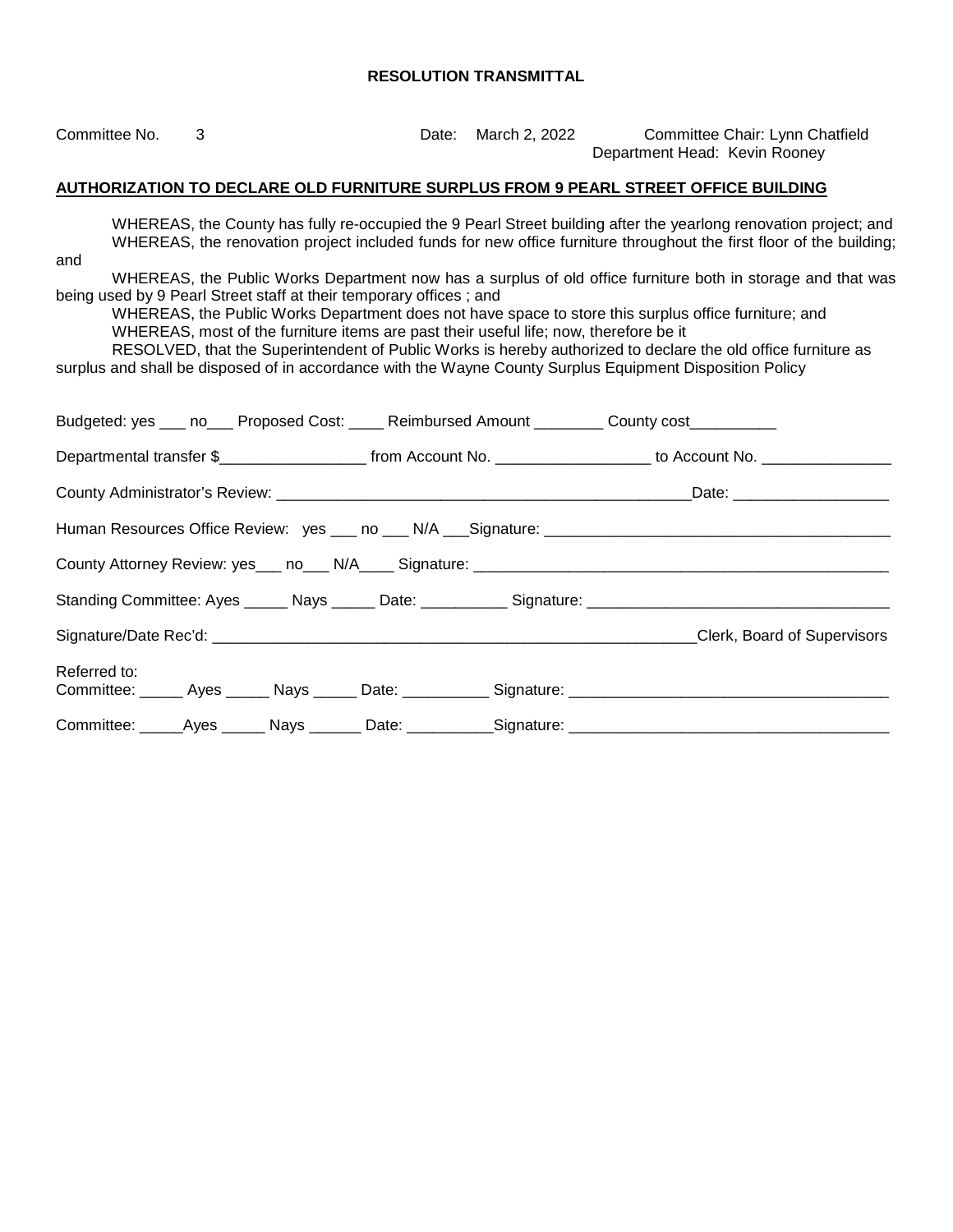Committee No. 3 Date: March 2, 2022 Committee Chair: Lynn Chatfield Department Head: Kevin Rooney

#### **AUTHORIZATION TO DECLARE OLD FURNITURE SURPLUS FROM 9 PEARL STREET OFFICE BUILDING**

WHEREAS, the County has fully re-occupied the 9 Pearl Street building after the yearlong renovation project; and WHEREAS, the renovation project included funds for new office furniture throughout the first floor of the building;

and

WHEREAS, the Public Works Department now has a surplus of old office furniture both in storage and that was being used by 9 Pearl Street staff at their temporary offices ; and

WHEREAS, the Public Works Department does not have space to store this surplus office furniture; and WHEREAS, most of the furniture items are past their useful life; now, therefore be it

RESOLVED, that the Superintendent of Public Works is hereby authorized to declare the old office furniture as surplus and shall be disposed of in accordance with the Wayne County Surplus Equipment Disposition Policy

| Budgeted: yes ___ no___ Proposed Cost: ____ Reimbursed Amount ________ County cost_________                     |  |  |                                                                                                      |
|-----------------------------------------------------------------------------------------------------------------|--|--|------------------------------------------------------------------------------------------------------|
| Departmental transfer \$_______________________ from Account No. ___________________ to Account No. ___________ |  |  |                                                                                                      |
|                                                                                                                 |  |  |                                                                                                      |
|                                                                                                                 |  |  |                                                                                                      |
|                                                                                                                 |  |  |                                                                                                      |
|                                                                                                                 |  |  |                                                                                                      |
|                                                                                                                 |  |  | Clerk, Board of Supervisors                                                                          |
| Referred to:                                                                                                    |  |  |                                                                                                      |
|                                                                                                                 |  |  | Committee: _____Ayes ______ Nays _______ Date: ___________Signature: _______________________________ |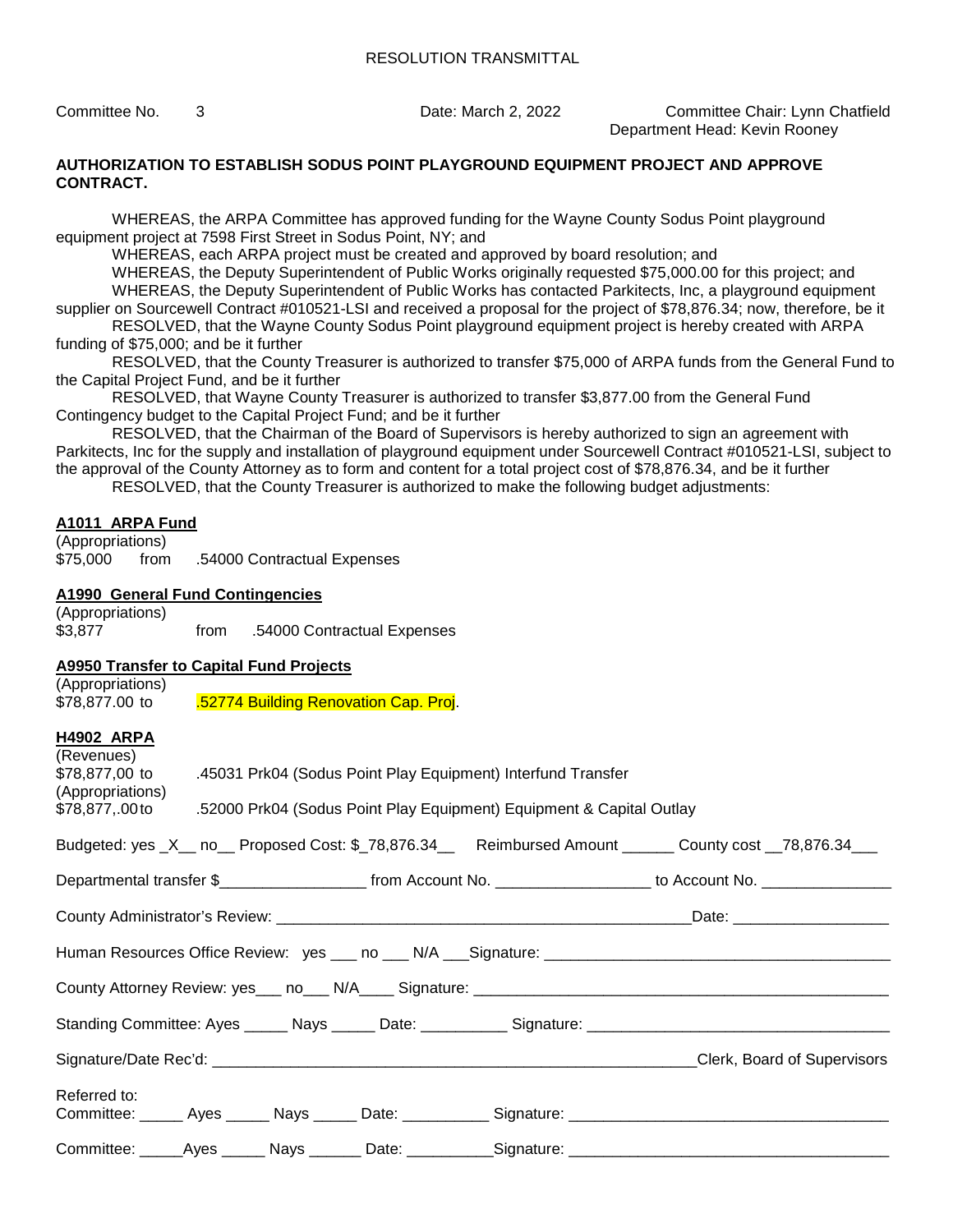Committee No. 3 Date: March 2, 2022 Committee Chair: Lynn Chatfield Department Head: Kevin Rooney

#### **AUTHORIZATION TO ESTABLISH SODUS POINT PLAYGROUND EQUIPMENT PROJECT AND APPROVE CONTRACT.**

WHEREAS, the ARPA Committee has approved funding for the Wayne County Sodus Point playground equipment project at 7598 First Street in Sodus Point, NY; and

WHEREAS, each ARPA project must be created and approved by board resolution; and

WHEREAS, the Deputy Superintendent of Public Works originally requested \$75,000.00 for this project; and WHEREAS, the Deputy Superintendent of Public Works has contacted Parkitects, Inc, a playground equipment supplier on Sourcewell Contract #010521-LSI and received a proposal for the project of \$78,876.34; now, therefore, be it

RESOLVED, that the Wayne County Sodus Point playground equipment project is hereby created with ARPA funding of \$75,000; and be it further

RESOLVED, that the County Treasurer is authorized to transfer \$75,000 of ARPA funds from the General Fund to the Capital Project Fund, and be it further

RESOLVED, that Wayne County Treasurer is authorized to transfer \$3,877.00 from the General Fund Contingency budget to the Capital Project Fund; and be it further

RESOLVED, that the Chairman of the Board of Supervisors is hereby authorized to sign an agreement with Parkitects, Inc for the supply and installation of playground equipment under Sourcewell Contract #010521-LSI, subject to the approval of the County Attorney as to form and content for a total project cost of \$78,876.34, and be it further RESOLVED, that the County Treasurer is authorized to make the following budget adjustments:

#### **A1011 ARPA Fund**

(Appropriations) \$75,000 from .54000 Contractual Expenses

#### **A1990 General Fund Contingencies**

(Appropriations) \$3,877 from .54000 Contractual Expenses

#### **A9950 Transfer to Capital Fund Projects**   $($

| (Appropriations)<br>\$78,877.00 to  52774 Building Renovation Cap. Proj. |                                                                                      |                                                                            |  |  |                                                                                                                       |  |  |  |  |  |
|--------------------------------------------------------------------------|--------------------------------------------------------------------------------------|----------------------------------------------------------------------------|--|--|-----------------------------------------------------------------------------------------------------------------------|--|--|--|--|--|
| <b>H4902 ARPA</b>                                                        |                                                                                      |                                                                            |  |  |                                                                                                                       |  |  |  |  |  |
| (Revenues)                                                               |                                                                                      | \$78,877,00 to 45031 Prk04 (Sodus Point Play Equipment) Interfund Transfer |  |  |                                                                                                                       |  |  |  |  |  |
| (Appropriations)                                                         | \$78,877,.00 to .52000 Prk04 (Sodus Point Play Equipment) Equipment & Capital Outlay |                                                                            |  |  |                                                                                                                       |  |  |  |  |  |
|                                                                          |                                                                                      |                                                                            |  |  | Budgeted: yes _X__ no__ Proposed Cost: \$_78,876.34__ Reimbursed Amount ______ County cost __78,876.34___             |  |  |  |  |  |
|                                                                          |                                                                                      |                                                                            |  |  | Departmental transfer \$_________________________ from Account No. ____________________ to Account No. ______________ |  |  |  |  |  |
|                                                                          |                                                                                      |                                                                            |  |  |                                                                                                                       |  |  |  |  |  |
|                                                                          |                                                                                      |                                                                            |  |  |                                                                                                                       |  |  |  |  |  |
|                                                                          |                                                                                      |                                                                            |  |  |                                                                                                                       |  |  |  |  |  |
|                                                                          |                                                                                      |                                                                            |  |  |                                                                                                                       |  |  |  |  |  |
|                                                                          |                                                                                      |                                                                            |  |  | Clerk, Board of Supervisors                                                                                           |  |  |  |  |  |
| Referred to:                                                             |                                                                                      |                                                                            |  |  |                                                                                                                       |  |  |  |  |  |
|                                                                          |                                                                                      |                                                                            |  |  |                                                                                                                       |  |  |  |  |  |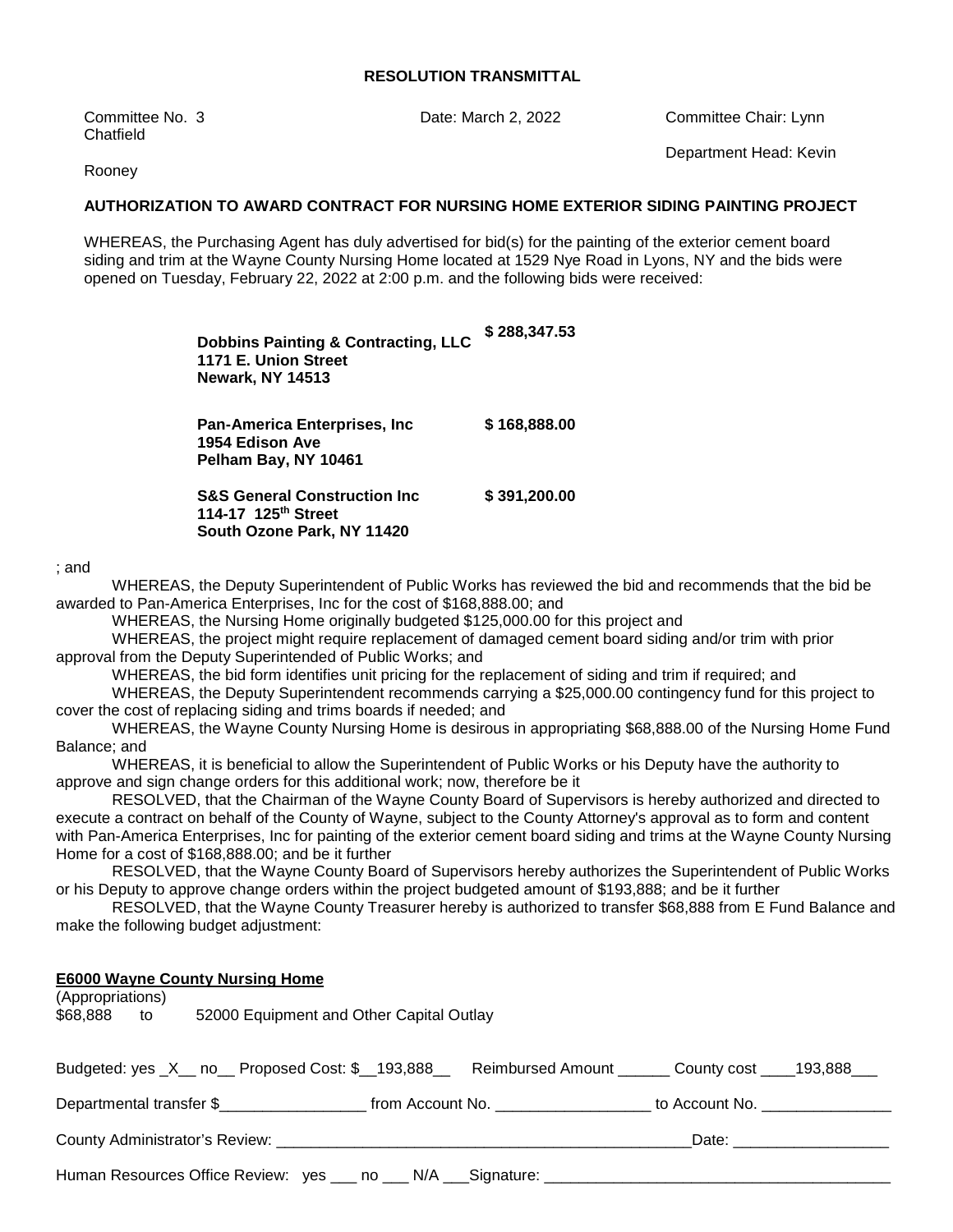Committee No. 3 Date: March 2, 2022 Committee Chair: Lynn **Chatfield** 

Rooney

#### **AUTHORIZATION TO AWARD CONTRACT FOR NURSING HOME EXTERIOR SIDING PAINTING PROJECT**

WHEREAS, the Purchasing Agent has duly advertised for bid(s) for the painting of the exterior cement board siding and trim at the Wayne County Nursing Home located at 1529 Nye Road in Lyons, NY and the bids were opened on Tuesday, February 22, 2022 at 2:00 p.m. and the following bids were received:

| <b>Dobbins Painting &amp; Contracting, LLC</b><br>1171 E. Union Street<br><b>Newark, NY 14513</b>         | \$288.347.53 |
|-----------------------------------------------------------------------------------------------------------|--------------|
| Pan-America Enterprises, Inc<br>1954 Edison Ave<br>Pelham Bay, NY 10461                                   | \$168.888.00 |
| <b>S&amp;S General Construction Inc.</b><br>114-17 125 <sup>th</sup> Street<br>South Ozone Park, NY 11420 | \$391,200.00 |

; and

WHEREAS, the Deputy Superintendent of Public Works has reviewed the bid and recommends that the bid be awarded to Pan-America Enterprises, Inc for the cost of \$168,888.00; and

WHEREAS, the Nursing Home originally budgeted \$125,000.00 for this project and

WHEREAS, the project might require replacement of damaged cement board siding and/or trim with prior approval from the Deputy Superintended of Public Works; and

WHEREAS, the bid form identifies unit pricing for the replacement of siding and trim if required; and

WHEREAS, the Deputy Superintendent recommends carrying a \$25,000.00 contingency fund for this project to cover the cost of replacing siding and trims boards if needed; and

WHEREAS, the Wayne County Nursing Home is desirous in appropriating \$68,888.00 of the Nursing Home Fund Balance; and

WHEREAS, it is beneficial to allow the Superintendent of Public Works or his Deputy have the authority to approve and sign change orders for this additional work; now, therefore be it

RESOLVED, that the Chairman of the Wayne County Board of Supervisors is hereby authorized and directed to execute a contract on behalf of the County of Wayne, subject to the County Attorney's approval as to form and content with Pan-America Enterprises, Inc for painting of the exterior cement board siding and trims at the Wayne County Nursing Home for a cost of \$168,888.00; and be it further

RESOLVED, that the Wayne County Board of Supervisors hereby authorizes the Superintendent of Public Works or his Deputy to approve change orders within the project budgeted amount of \$193,888; and be it further

RESOLVED, that the Wayne County Treasurer hereby is authorized to transfer \$68,888 from E Fund Balance and make the following budget adjustment:

#### **E6000 Wayne County Nursing Home**

| (Appropriations)<br>\$68,888 to | 52000 Equipment and Other Capital Outlay                                                                |  |  |  |  |  |  |  |  |
|---------------------------------|---------------------------------------------------------------------------------------------------------|--|--|--|--|--|--|--|--|
|                                 | Budgeted: yes _X__ no__ Proposed Cost: \$__193,888__ Reimbursed Amount _____ County cost ____193,888___ |  |  |  |  |  |  |  |  |
|                                 | Departmental transfer \$                                                                                |  |  |  |  |  |  |  |  |
|                                 |                                                                                                         |  |  |  |  |  |  |  |  |
|                                 |                                                                                                         |  |  |  |  |  |  |  |  |

Department Head: Kevin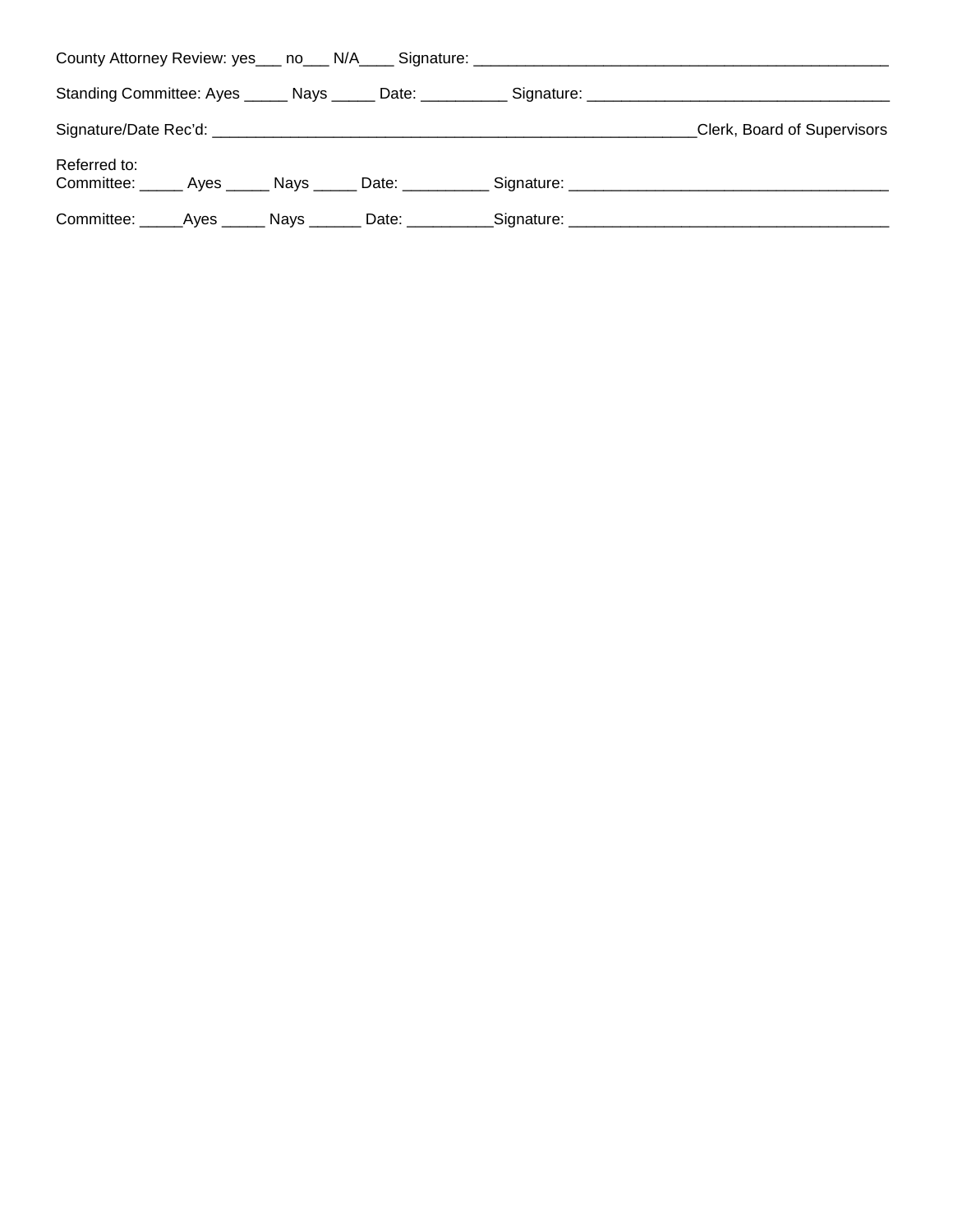|                                                            |  |                                      | Standing Committee: Ayes ______ Nays ______ Date: ___________ Signature: ___________________________ |
|------------------------------------------------------------|--|--------------------------------------|------------------------------------------------------------------------------------------------------|
|                                                            |  |                                      | Clerk, Board of Supervisors                                                                          |
| Referred to:                                               |  |                                      |                                                                                                      |
| Committee: ______Ayes ______ Nays _______ Date: __________ |  | _Signature: ________________________ |                                                                                                      |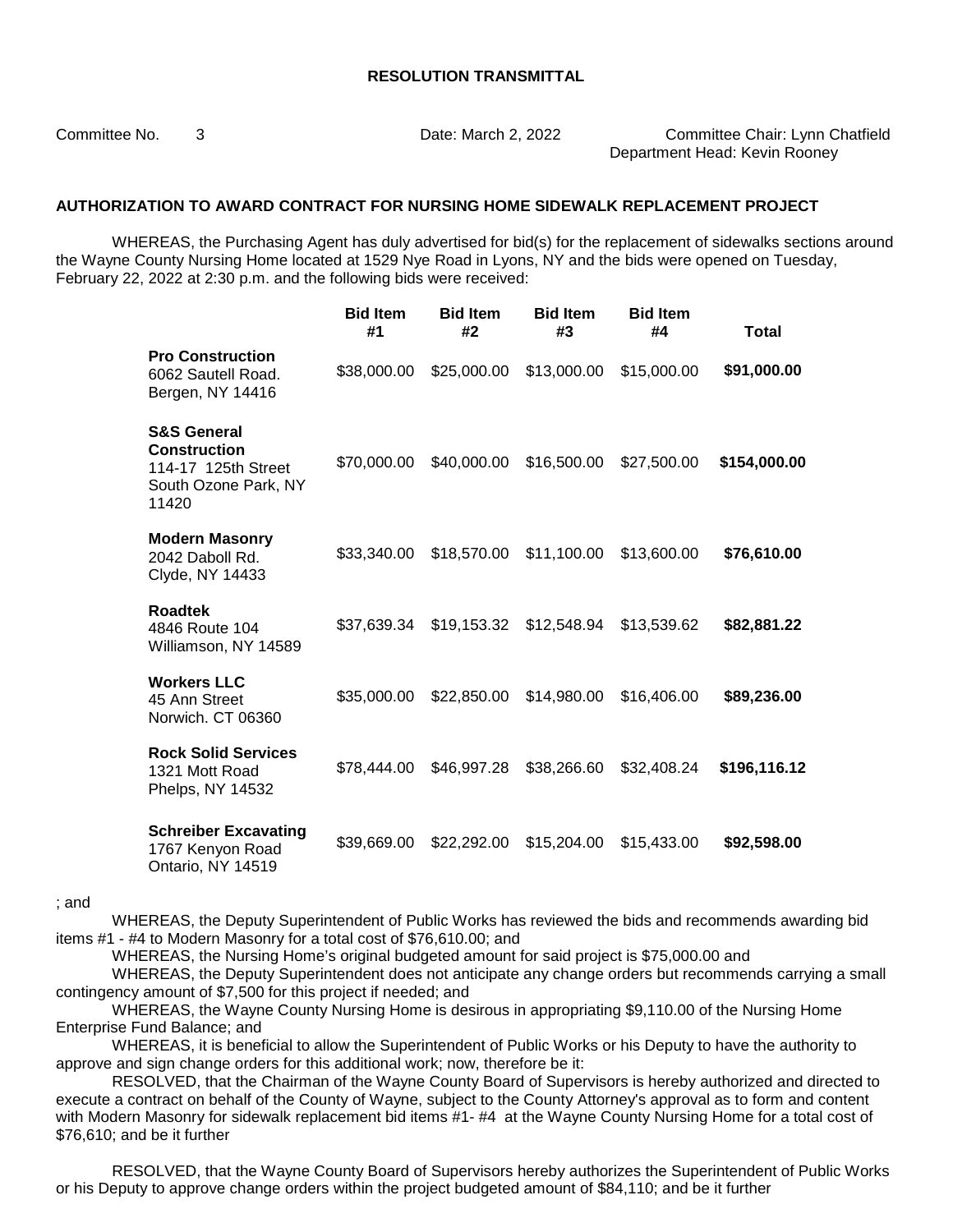Committee No. 3 Date: March 2, 2022 Committee Chair: Lynn Chatfield Department Head: Kevin Rooney

#### **AUTHORIZATION TO AWARD CONTRACT FOR NURSING HOME SIDEWALK REPLACEMENT PROJECT**

WHEREAS, the Purchasing Agent has duly advertised for bid(s) for the replacement of sidewalks sections around the Wayne County Nursing Home located at 1529 Nye Road in Lyons, NY and the bids were opened on Tuesday, February 22, 2022 at 2:30 p.m. and the following bids were received:

|                                                                                                       | <b>Bid Item</b><br>#1 | <b>Bid Item</b><br>#2 | <b>Bid Item</b><br>#3 | <b>Bid Item</b><br>#4 | Total        |
|-------------------------------------------------------------------------------------------------------|-----------------------|-----------------------|-----------------------|-----------------------|--------------|
| <b>Pro Construction</b><br>6062 Sautell Road.<br>Bergen, NY 14416                                     | \$38,000.00           | \$25,000.00           | \$13,000.00           | \$15,000.00           | \$91,000.00  |
| <b>S&amp;S General</b><br><b>Construction</b><br>114-17 125th Street<br>South Ozone Park, NY<br>11420 | \$70,000.00           | \$40,000.00           | \$16,500.00           | \$27,500.00           | \$154,000.00 |
| <b>Modern Masonry</b><br>2042 Daboll Rd.<br>Clyde, NY 14433                                           | \$33,340.00           | \$18,570.00           | \$11,100.00           | \$13,600.00           | \$76,610.00  |
| <b>Roadtek</b><br>4846 Route 104<br>Williamson, NY 14589                                              | \$37,639.34           | \$19,153.32           | \$12,548.94           | \$13,539.62           | \$82,881.22  |
| <b>Workers LLC</b><br>45 Ann Street<br>Norwich. CT 06360                                              | \$35,000.00           | \$22,850.00           | \$14,980.00           | \$16,406.00           | \$89,236.00  |
| <b>Rock Solid Services</b><br>1321 Mott Road<br>Phelps, NY 14532                                      | \$78,444.00           | \$46,997.28           | \$38,266.60           | \$32,408.24           | \$196,116.12 |
| <b>Schreiber Excavating</b><br>1767 Kenyon Road<br>Ontario, NY 14519                                  | \$39,669.00           | \$22,292.00           | \$15,204.00           | \$15,433.00           | \$92,598.00  |

; and

WHEREAS, the Deputy Superintendent of Public Works has reviewed the bids and recommends awarding bid items #1 - #4 to Modern Masonry for a total cost of \$76,610.00; and

WHEREAS, the Nursing Home's original budgeted amount for said project is \$75,000.00 and

WHEREAS, the Deputy Superintendent does not anticipate any change orders but recommends carrying a small contingency amount of \$7,500 for this project if needed; and

WHEREAS, the Wayne County Nursing Home is desirous in appropriating \$9,110.00 of the Nursing Home Enterprise Fund Balance; and

WHEREAS, it is beneficial to allow the Superintendent of Public Works or his Deputy to have the authority to approve and sign change orders for this additional work; now, therefore be it:

RESOLVED, that the Chairman of the Wayne County Board of Supervisors is hereby authorized and directed to execute a contract on behalf of the County of Wayne, subject to the County Attorney's approval as to form and content with Modern Masonry for sidewalk replacement bid items #1- #4 at the Wayne County Nursing Home for a total cost of \$76,610; and be it further

RESOLVED, that the Wayne County Board of Supervisors hereby authorizes the Superintendent of Public Works or his Deputy to approve change orders within the project budgeted amount of \$84,110; and be it further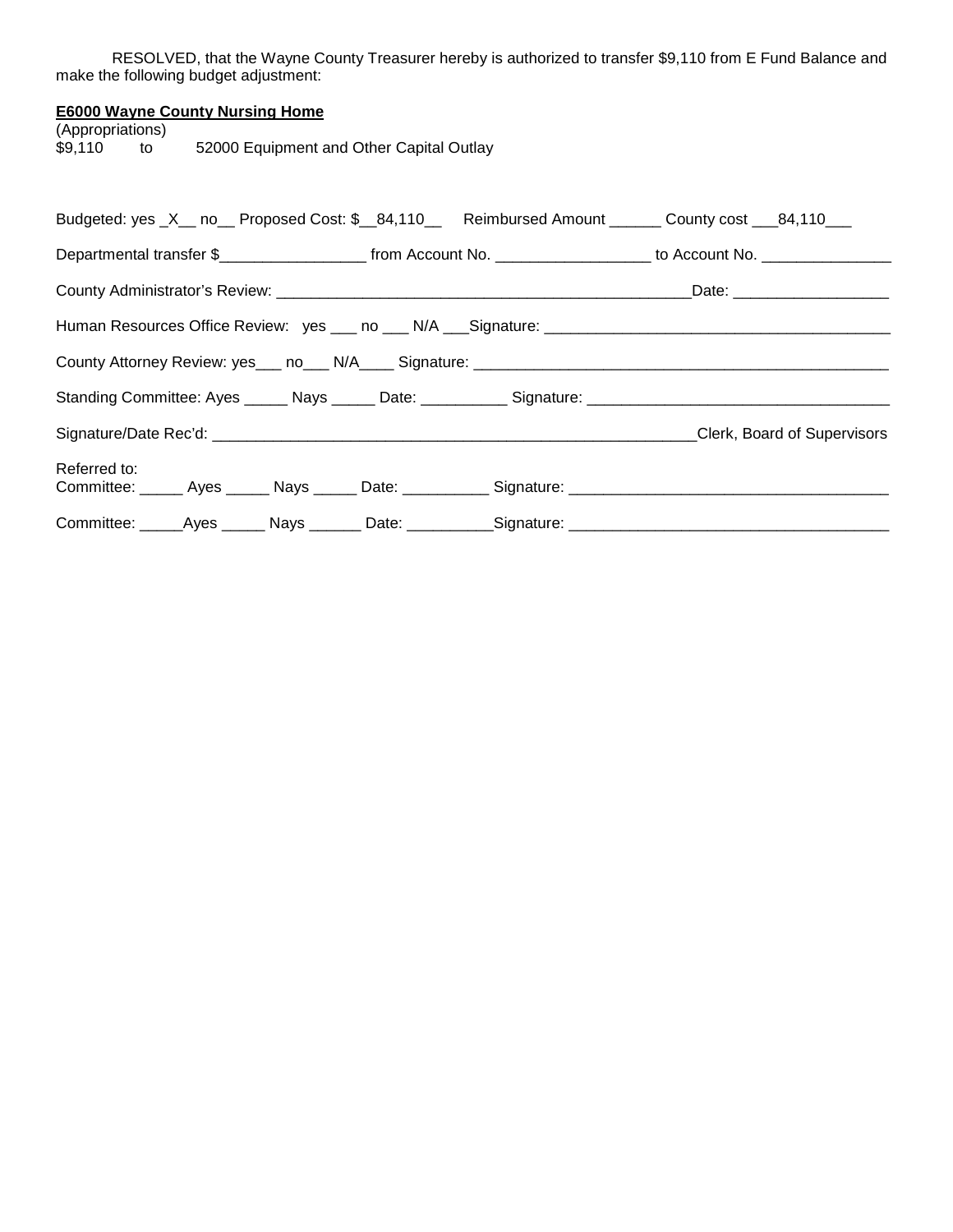RESOLVED, that the Wayne County Treasurer hereby is authorized to transfer \$9,110 from E Fund Balance and make the following budget adjustment:

### **E6000 Wayne County Nursing Home**

(Appropriations)<br>\$9,110 to 52000 Equipment and Other Capital Outlay

|                                                                                                      |  | Budgeted: yes _X__ no__ Proposed Cost: \$__84,110__ Reimbursed Amount ______ County cost ___84,110___                                   |
|------------------------------------------------------------------------------------------------------|--|-----------------------------------------------------------------------------------------------------------------------------------------|
|                                                                                                      |  | Departmental transfer \$________________________________from Account No. ____________________________ to Account No. __________________ |
|                                                                                                      |  |                                                                                                                                         |
|                                                                                                      |  |                                                                                                                                         |
|                                                                                                      |  |                                                                                                                                         |
|                                                                                                      |  |                                                                                                                                         |
|                                                                                                      |  | Clerk, Board of Supervisors                                                                                                             |
| Referred to:                                                                                         |  |                                                                                                                                         |
| Committee: ______Ayes _______ Nays ________ Date: ___________Signature: ____________________________ |  |                                                                                                                                         |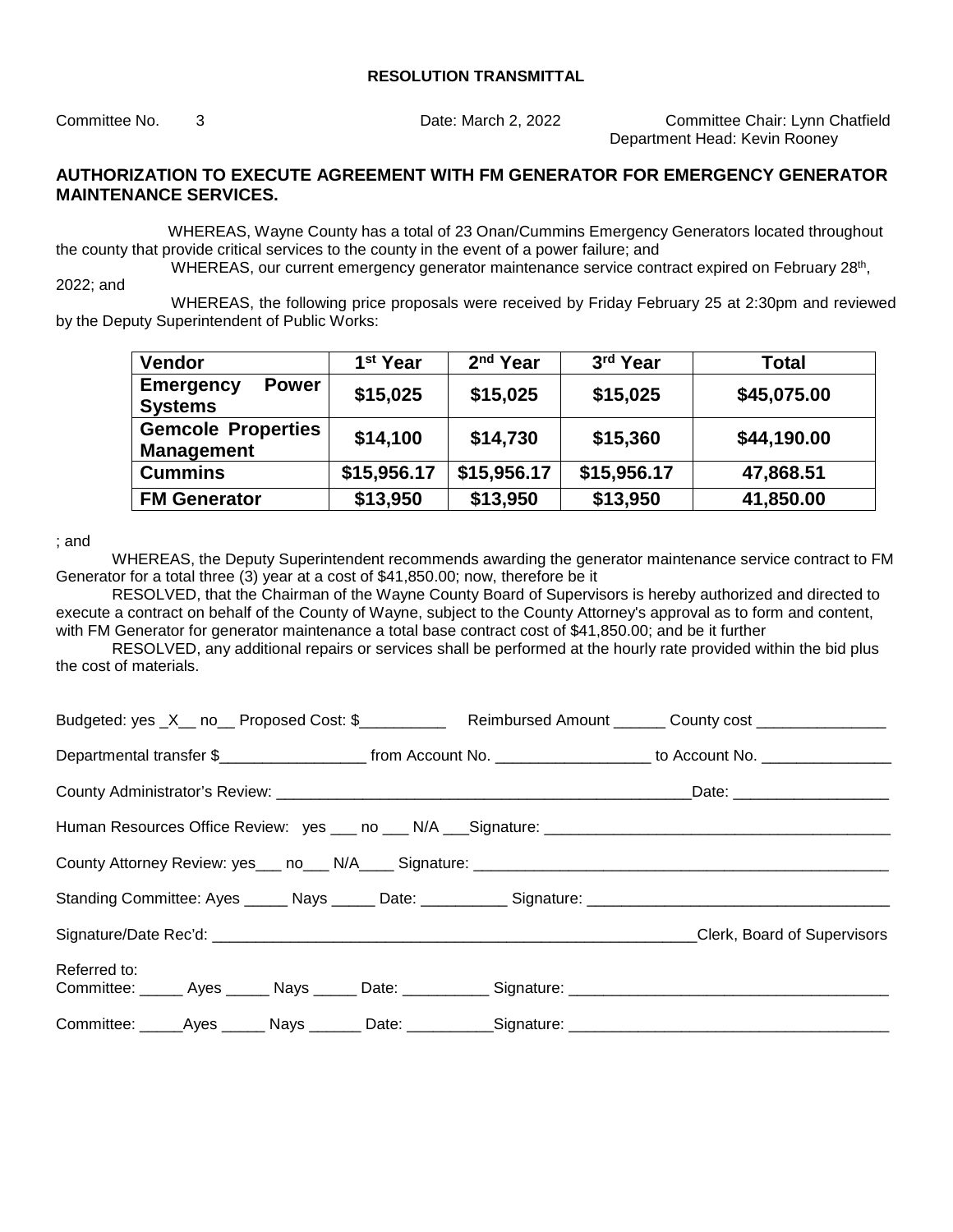Committee No. 3 Date: March 2, 2022 Committee Chair: Lynn Chatfield Department Head: Kevin Rooney

### **AUTHORIZATION TO EXECUTE AGREEMENT WITH FM GENERATOR FOR EMERGENCY GENERATOR MAINTENANCE SERVICES.**

WHEREAS, Wayne County has a total of 23 Onan/Cummins Emergency Generators located throughout the county that provide critical services to the county in the event of a power failure; and

WHEREAS, our current emergency generator maintenance service contract expired on February 28th,

2022; and

 WHEREAS, the following price proposals were received by Friday February 25 at 2:30pm and reviewed by the Deputy Superintendent of Public Works:

| <b>Vendor</b>                                      | 1 <sup>st</sup> Year | 2 <sup>nd</sup> Year | 3rd Year    | <b>Total</b> |
|----------------------------------------------------|----------------------|----------------------|-------------|--------------|
| <b>Emergency</b><br><b>Power</b><br><b>Systems</b> | \$15,025             | \$15,025             | \$15,025    | \$45,075.00  |
| <b>Gemcole Properties</b><br><b>Management</b>     | \$14,100             | \$14,730             | \$15,360    | \$44,190.00  |
| <b>Cummins</b>                                     | \$15,956.17          | \$15,956.17          | \$15,956.17 | 47,868.51    |
| <b>FM Generator</b>                                | \$13,950             | \$13,950             | \$13,950    | 41,850.00    |

; and

WHEREAS, the Deputy Superintendent recommends awarding the generator maintenance service contract to FM Generator for a total three (3) year at a cost of \$41,850.00; now, therefore be it

RESOLVED, that the Chairman of the Wayne County Board of Supervisors is hereby authorized and directed to execute a contract on behalf of the County of Wayne, subject to the County Attorney's approval as to form and content, with FM Generator for generator maintenance a total base contract cost of \$41,850.00; and be it further

RESOLVED, any additional repairs or services shall be performed at the hourly rate provided within the bid plus the cost of materials.

| Budgeted: yes _X__ no__ Proposed Cost: \$______________ Reimbursed Amount ______ County cost ______________                             |                             |
|-----------------------------------------------------------------------------------------------------------------------------------------|-----------------------------|
| Departmental transfer \$________________________________from Account No. ____________________________ to Account No. __________________ |                             |
|                                                                                                                                         |                             |
|                                                                                                                                         |                             |
|                                                                                                                                         |                             |
|                                                                                                                                         |                             |
|                                                                                                                                         | Clerk, Board of Supervisors |
| Referred to:<br>Committee: ______ Ayes ______ Nays ______ Date: ___________ Signature: _____________________________                    |                             |
| Committee: ______Ayes ______ Nays _______ Date: ___________Signature: _____________________________                                     |                             |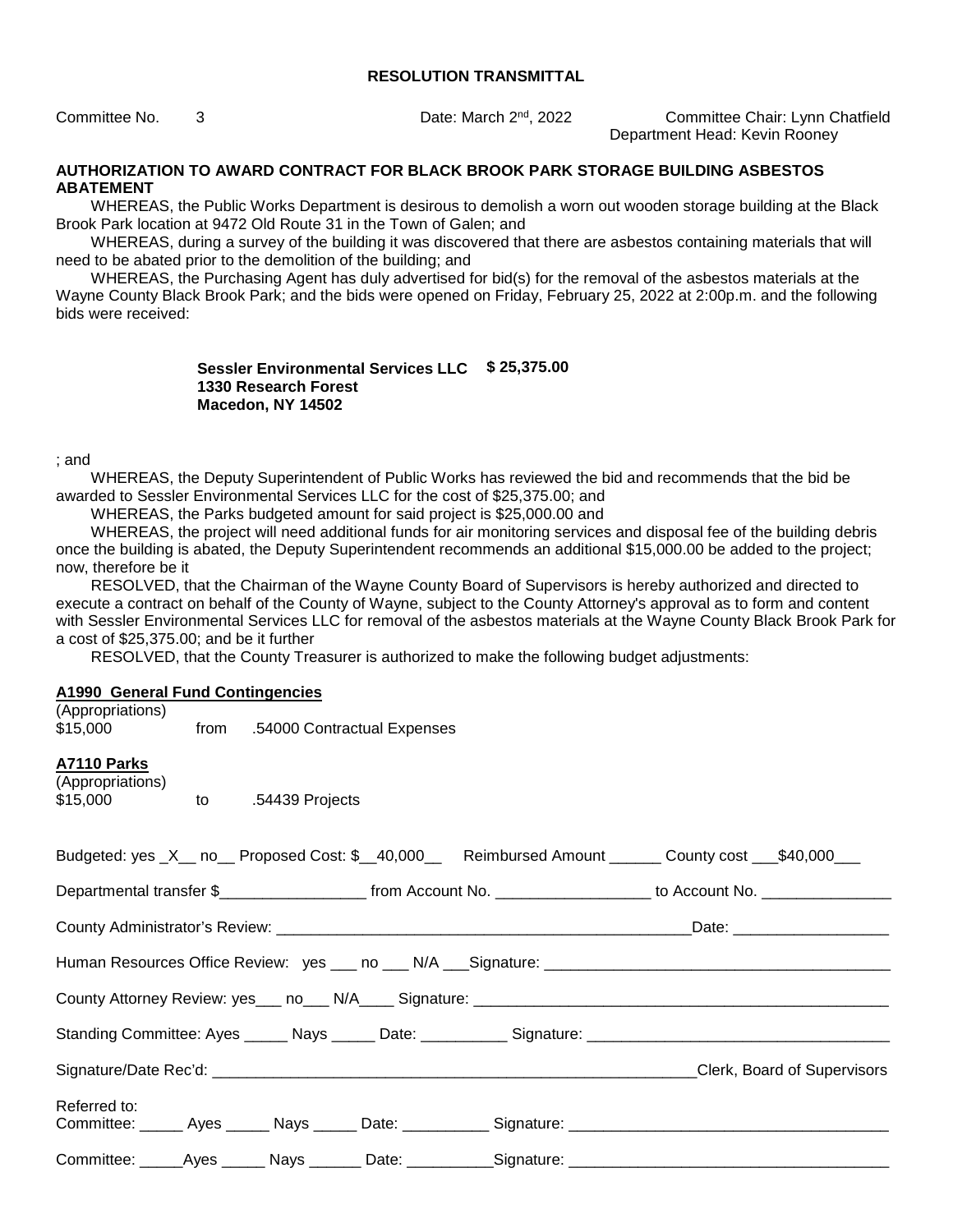Committee No. 3 **Date: March 2<sup>nd</sup>, 2022** Committee Chair: Lynn Chatfield Department Head: Kevin Rooney

#### **AUTHORIZATION TO AWARD CONTRACT FOR BLACK BROOK PARK STORAGE BUILDING ASBESTOS ABATEMENT**

WHEREAS, the Public Works Department is desirous to demolish a worn out wooden storage building at the Black Brook Park location at 9472 Old Route 31 in the Town of Galen; and

WHEREAS, during a survey of the building it was discovered that there are asbestos containing materials that will need to be abated prior to the demolition of the building; and

WHEREAS, the Purchasing Agent has duly advertised for bid(s) for the removal of the asbestos materials at the Wayne County Black Brook Park; and the bids were opened on Friday, February 25, 2022 at 2:00p.m. and the following bids were received:

#### **Sessler Environmental Services LLC \$ 25,375.00 1330 Research Forest Macedon, NY 14502**

; and

WHEREAS, the Deputy Superintendent of Public Works has reviewed the bid and recommends that the bid be awarded to Sessler Environmental Services LLC for the cost of \$25,375.00; and

WHEREAS, the Parks budgeted amount for said project is \$25,000.00 and

WHEREAS, the project will need additional funds for air monitoring services and disposal fee of the building debris once the building is abated, the Deputy Superintendent recommends an additional \$15,000.00 be added to the project; now, therefore be it

RESOLVED, that the Chairman of the Wayne County Board of Supervisors is hereby authorized and directed to execute a contract on behalf of the County of Wayne, subject to the County Attorney's approval as to form and content with Sessler Environmental Services LLC for removal of the asbestos materials at the Wayne County Black Brook Park for a cost of \$25,375.00; and be it further

RESOLVED, that the County Treasurer is authorized to make the following budget adjustments:

#### **A1990 General Fund Contingencies**  (Appropriations)

| (Appropriations) |      |                             |
|------------------|------|-----------------------------|
| \$15,000         | trom | .54000 Contractual Expenses |

#### **A7110 Parks**

| (Appropriations) |    |                 |
|------------------|----|-----------------|
| \$15,000         | to | .54439 Projects |

| Budgeted: yes _X__ no__ Proposed Cost: \$__40,000__ Reimbursed Amount ______ County cost __\$40,000___                                  |  |                             |
|-----------------------------------------------------------------------------------------------------------------------------------------|--|-----------------------------|
| Departmental transfer \$___________________________ from Account No. ______________________ to Account No. ____________________________ |  |                             |
|                                                                                                                                         |  |                             |
| Human Resources Office Review: yes ___ no ___ N/A ___ Signature: ___________________________________                                    |  |                             |
|                                                                                                                                         |  |                             |
|                                                                                                                                         |  |                             |
|                                                                                                                                         |  | Clerk, Board of Supervisors |
| Referred to:<br>Committee: ______ Ayes ______ Nays ______ Date: ___________ Signature: _____________________________                    |  |                             |
| Committee: _____Ayes ______ Nays _______ Date: ___________Signature: ______________________________                                     |  |                             |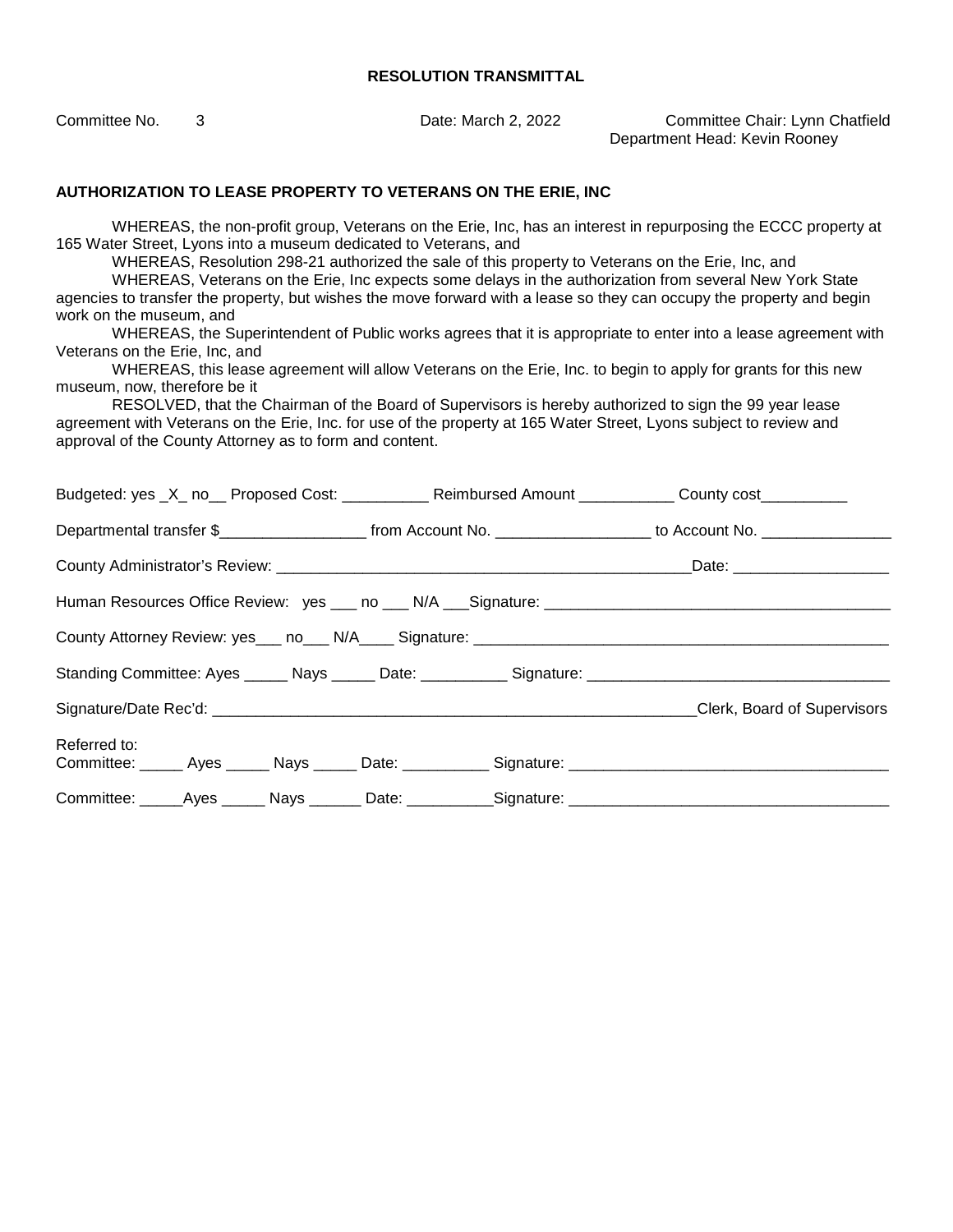Committee No. 3 Date: March 2, 2022 Committee Chair: Lynn Chatfield Department Head: Kevin Rooney

#### **AUTHORIZATION TO LEASE PROPERTY TO VETERANS ON THE ERIE, INC**

WHEREAS, the non-profit group, Veterans on the Erie, Inc, has an interest in repurposing the ECCC property at 165 Water Street, Lyons into a museum dedicated to Veterans, and

WHEREAS, Resolution 298-21 authorized the sale of this property to Veterans on the Erie, Inc, and

WHEREAS, Veterans on the Erie, Inc expects some delays in the authorization from several New York State agencies to transfer the property, but wishes the move forward with a lease so they can occupy the property and begin work on the museum, and

WHEREAS, the Superintendent of Public works agrees that it is appropriate to enter into a lease agreement with Veterans on the Erie, Inc, and

WHEREAS, this lease agreement will allow Veterans on the Erie, Inc. to begin to apply for grants for this new museum, now, therefore be it

RESOLVED, that the Chairman of the Board of Supervisors is hereby authorized to sign the 99 year lease agreement with Veterans on the Erie, Inc. for use of the property at 165 Water Street, Lyons subject to review and approval of the County Attorney as to form and content.

|                                                                                                      | Budgeted: yes _X_ no__ Proposed Cost: ___________ Reimbursed Amount ___________ County cost_________ |  |                             |
|------------------------------------------------------------------------------------------------------|------------------------------------------------------------------------------------------------------|--|-----------------------------|
|                                                                                                      |                                                                                                      |  |                             |
|                                                                                                      |                                                                                                      |  |                             |
|                                                                                                      |                                                                                                      |  |                             |
|                                                                                                      |                                                                                                      |  |                             |
| Standing Committee: Ayes ______ Nays ______ Date: ___________ Signature: ___________________________ |                                                                                                      |  |                             |
|                                                                                                      |                                                                                                      |  | Clerk, Board of Supervisors |
| Referred to:                                                                                         |                                                                                                      |  |                             |
|                                                                                                      |                                                                                                      |  |                             |